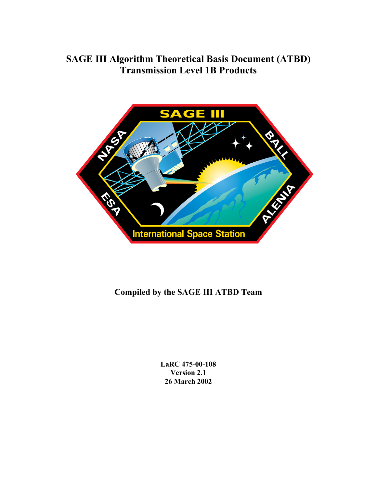# **SAGE III Algorithm Theoretical Basis Document (ATBD) Transmission Level 1B Products**



# **Compiled by the SAGE III ATBD Team**

**LaRC 475-00-108 Version 2.1 26 March 2002**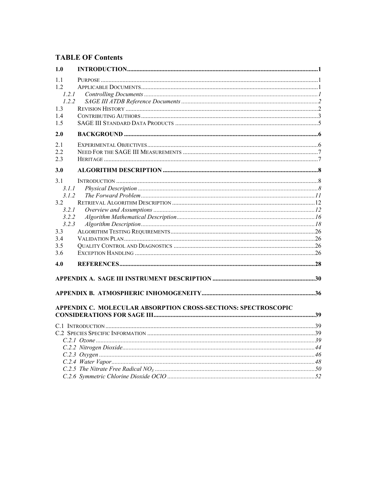# **TABLE OF Contents**

| 1.0   |                                                                |  |
|-------|----------------------------------------------------------------|--|
| 1.1   |                                                                |  |
| 1.2   |                                                                |  |
| 1.2.1 |                                                                |  |
| 1.2.2 |                                                                |  |
| 1.3   |                                                                |  |
| 1.4   |                                                                |  |
| 1.5   |                                                                |  |
| 2.0   |                                                                |  |
| 2.1   |                                                                |  |
| 2.2   |                                                                |  |
| 2.3   |                                                                |  |
| 3.0   |                                                                |  |
| 3.1   |                                                                |  |
| 3.1.1 |                                                                |  |
| 3.1.2 |                                                                |  |
| 3.2   |                                                                |  |
| 3.2.1 |                                                                |  |
| 3.2.2 |                                                                |  |
| 3.2.3 |                                                                |  |
| 3.3   |                                                                |  |
| 3.4   |                                                                |  |
| 3.5   |                                                                |  |
| 3.6   |                                                                |  |
| 4.0   |                                                                |  |
|       |                                                                |  |
|       |                                                                |  |
|       | APPENDIX C. MOLECULAR ABSORPTION CROSS-SECTIONS: SPECTROSCOPIC |  |
|       |                                                                |  |
|       |                                                                |  |
|       |                                                                |  |
|       |                                                                |  |
|       |                                                                |  |
|       |                                                                |  |
|       |                                                                |  |
|       |                                                                |  |
|       |                                                                |  |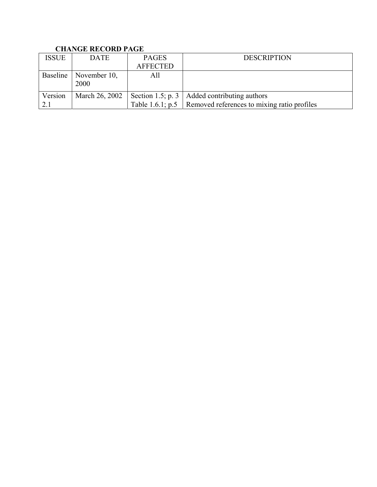# **CHANGE RECORD PAGE**

| <b>ISSUE</b> | <b>DATE</b>                     | <b>PAGES</b>    | <b>DESCRIPTION</b>                                           |
|--------------|---------------------------------|-----------------|--------------------------------------------------------------|
|              |                                 | <b>AFFECTED</b> |                                                              |
|              | Baseline   November 10,<br>2000 | All             |                                                              |
| Version      | March 26, 2002                  |                 | Section 1.5; p. 3   Added contributing authors               |
| 2.1          |                                 |                 | Table 1.6.1; p.5 Removed references to mixing ratio profiles |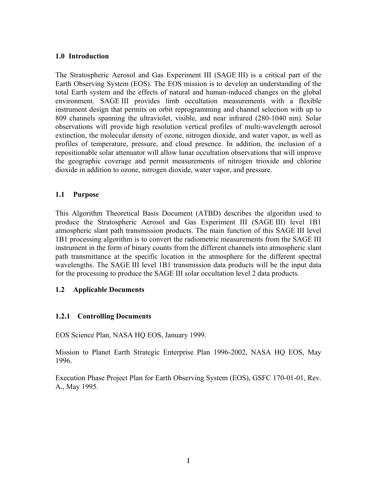#### <span id="page-3-0"></span>**1.0 Introduction**

The Stratospheric Aerosol and Gas Experiment III (SAGE III) is a critical part of the Earth Observing System (EOS). The EOS mission is to develop an understanding of the total Earth system and the effects of natural and human-induced changes on the global environment. SAGE III provides limb occultation measurements with a flexible instrument design that permits on orbit reprogramming and channel selection with up to 809 channels spanning the ultraviolet, visible, and near infrared (280-1040 nm). Solar observations will provide high resolution vertical profiles of multi-wavelength aerosol extinction, the molecular density of ozone, nitrogen dioxide, and water vapor, as well as profiles of temperature, pressure, and cloud presence. In addition, the inclusion of a repositionable solar attenuator will allow lunar occultation observations that will improve the geographic coverage and permit measurements of nitrogen trioxide and chlorine dioxide in addition to ozone, nitrogen dioxide, water vapor, and pressure.

### **1.1 Purpose**

This Algorithm Theoretical Basis Document (ATBD) describes the algorithm used to produce the Stratospheric Aerosol and Gas Experiment III (SAGE III) level 1B1 atmospheric slant path transmission products. The main function of this SAGE III level 1B1 processing algorithm is to convert the radiometric measurements from the SAGE III instrument in the form of binary counts from the different channels into atmospheric slant path transmittance at the specific location in the atmosphere for the different spectral wavelengths. The SAGE III level 1B1 transmission data products will be the input data for the processing to produce the SAGE III solar occultation level 2 data products.

#### **1.2 Applicable Documents**

### **1.2.1 Controlling Documents**

EOS Science Plan, NASA HQ EOS, January 1999.

Mission to Planet Earth Strategic Enterprise Plan 1996-2002, NASA HQ EOS, May 1996.

Execution Phase Project Plan for Earth Observing System (EOS), GSFC 170-01-01, Rev. A., May 1995.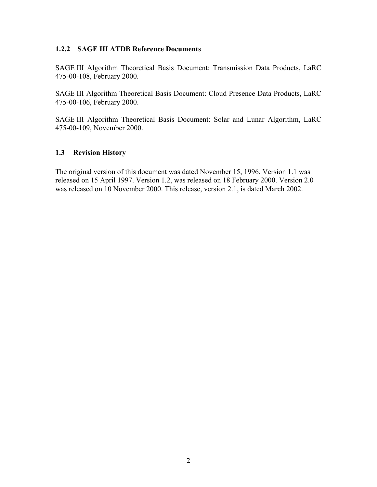### <span id="page-4-0"></span>**1.2.2 SAGE III ATDB Reference Documents**

SAGE III Algorithm Theoretical Basis Document: Transmission Data Products, LaRC 475-00-108, February 2000.

SAGE III Algorithm Theoretical Basis Document: Cloud Presence Data Products, LaRC 475-00-106, February 2000.

SAGE III Algorithm Theoretical Basis Document: Solar and Lunar Algorithm, LaRC 475-00-109, November 2000.

### **1.3 Revision History**

The original version of this document was dated November 15, 1996. Version 1.1 was released on 15 April 1997. Version 1.2, was released on 18 February 2000. Version 2.0 was released on 10 November 2000. This release, version 2.1, is dated March 2002.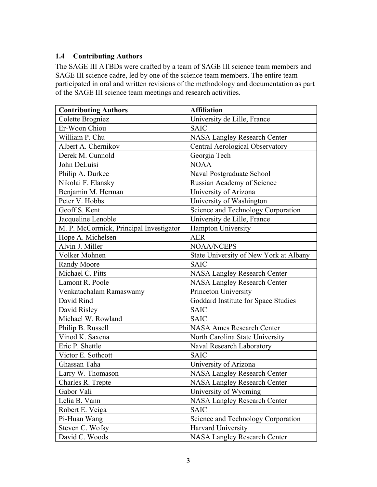### <span id="page-5-0"></span>**1.4 Contributing Authors**

The SAGE III ATBDs were drafted by a team of SAGE III science team members and SAGE III science cadre, led by one of the science team members. The entire team participated in oral and written revisions of the methodology and documentation as part of the SAGE III science team meetings and research activities.

| <b>Contributing Authors</b>             | <b>Affiliation</b>                     |  |  |  |
|-----------------------------------------|----------------------------------------|--|--|--|
| Colette Brogniez                        | University de Lille, France            |  |  |  |
| Er-Woon Chiou                           | <b>SAIC</b>                            |  |  |  |
| William P. Chu                          | <b>NASA Langley Research Center</b>    |  |  |  |
| Albert A. Chernikov                     | Central Aerological Observatory        |  |  |  |
| Derek M. Cunnold                        | Georgia Tech                           |  |  |  |
| John DeLuisi                            | <b>NOAA</b>                            |  |  |  |
| Philip A. Durkee                        | Naval Postgraduate School              |  |  |  |
| Nikolai F. Elansky                      | Russian Academy of Science             |  |  |  |
| Benjamin M. Herman                      | University of Arizona                  |  |  |  |
| Peter V. Hobbs                          | University of Washington               |  |  |  |
| Geoff S. Kent                           | Science and Technology Corporation     |  |  |  |
| Jacqueline Lenoble                      | University de Lille, France            |  |  |  |
| M. P. McCormick, Principal Investigator | Hampton University                     |  |  |  |
| Hope A. Michelsen                       | <b>AER</b>                             |  |  |  |
| Alvin J. Miller                         | <b>NOAA/NCEPS</b>                      |  |  |  |
| Volker Mohnen                           | State University of New York at Albany |  |  |  |
| Randy Moore                             | <b>SAIC</b>                            |  |  |  |
| Michael C. Pitts                        | <b>NASA Langley Research Center</b>    |  |  |  |
| Lamont R. Poole                         | <b>NASA Langley Research Center</b>    |  |  |  |
| Venkatachalam Ramaswamy                 | Princeton University                   |  |  |  |
| David Rind                              | Goddard Institute for Space Studies    |  |  |  |
| David Risley                            | <b>SAIC</b>                            |  |  |  |
| Michael W. Rowland                      | <b>SAIC</b>                            |  |  |  |
| Philip B. Russell                       | <b>NASA Ames Research Center</b>       |  |  |  |
| Vinod K. Saxena                         | North Carolina State University        |  |  |  |
| Eric P. Shettle                         | Naval Research Laboratory              |  |  |  |
| Victor E. Sothcott                      | <b>SAIC</b>                            |  |  |  |
| Ghassan Taha                            | University of Arizona                  |  |  |  |
| Larry W. Thomason                       | <b>NASA Langley Research Center</b>    |  |  |  |
| Charles R. Trepte                       | <b>NASA Langley Research Center</b>    |  |  |  |
| Gabor Vali                              | University of Wyoming                  |  |  |  |
| Lelia B. Vann                           | <b>NASA Langley Research Center</b>    |  |  |  |
| Robert E. Veiga                         | <b>SAIC</b>                            |  |  |  |
| Pi-Huan Wang                            | Science and Technology Corporation     |  |  |  |
| Steven C. Wofsy                         | Harvard University                     |  |  |  |
| David C. Woods                          | <b>NASA Langley Research Center</b>    |  |  |  |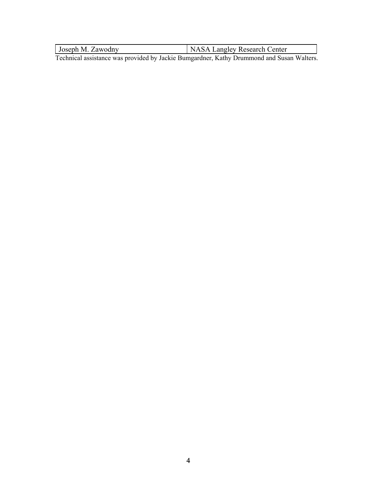Joseph M. Zawodny NASA Langley Research Center

Technical assistance was provided by Jackie Bumgardner, Kathy Drummond and Susan Walters.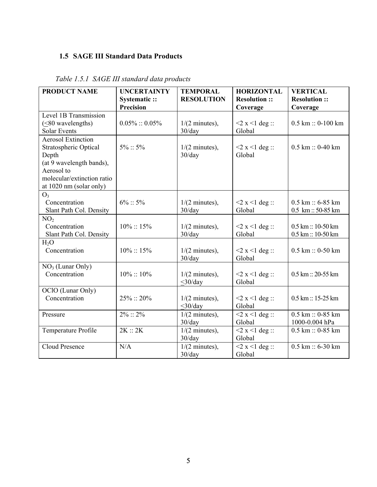# <span id="page-7-0"></span>**1.5 SAGE III Standard Data Products**

| <b>PRODUCT NAME</b>        | <b>UNCERTAINTY</b> | <b>TEMPORAL</b>           | <b>HORIZONTAL</b>    | <b>VERTICAL</b>                        |
|----------------------------|--------------------|---------------------------|----------------------|----------------------------------------|
|                            | Systematic ::      | <b>RESOLUTION</b>         | <b>Resolution::</b>  | <b>Resolution::</b>                    |
|                            | <b>Precision</b>   |                           | Coverage             | Coverage                               |
| Level 1B Transmission      |                    |                           |                      |                                        |
| $($ $\leq$ 80 wavelengths) | $0.05\% :: 0.05\%$ | $1/(2 \text{ minutes})$ , | $<$ 2 x $<$ 1 deg :: | $0.5$ km :: 0-100 km                   |
| <b>Solar Events</b>        |                    | 30/day                    | Global               |                                        |
| <b>Aerosol Extinction</b>  |                    |                           |                      |                                        |
| Stratospheric Optical      | $5\%::5\%$         | $1/(2 \text{ minutes})$ , | $<$ 2 x $<$ 1 deg :: | $0.5 \text{ km} :: 0-40 \text{ km}$    |
| Depth                      |                    | 30/day                    | Global               |                                        |
| (at 9 wavelength bands),   |                    |                           |                      |                                        |
| Aerosol to                 |                    |                           |                      |                                        |
| molecular/extinction ratio |                    |                           |                      |                                        |
| at 1020 nm (solar only)    |                    |                           |                      |                                        |
| O <sub>3</sub>             |                    |                           |                      |                                        |
| Concentration              | $6\% :: 5\%$       | $1/(2 \text{ minutes})$ , | $<$ 2 x $<$ 1 deg :: | $0.5 \text{ km} :: 6 - 85 \text{ km}$  |
| Slant Path Col. Density    |                    | 30/day                    | Global               | $0.5 \; km :: 50-85 \; km$             |
| NO <sub>2</sub>            |                    |                           |                      |                                        |
| Concentration              | $10\%::15\%$       | $1/(2 \text{ minutes})$ , | $<$ 2 x $<$ 1 deg :: | $0.5 \text{ km} :: 10 - 50 \text{ km}$ |
| Slant Path Col. Density    |                    | 30/day                    | Global               | $0.5 \text{ km} :: 10 - 50 \text{ km}$ |
| H <sub>2</sub> O           |                    |                           |                      |                                        |
| Concentration              | $10\% :: 15\%$     | $1/(2 \text{ minutes})$ , | $<$ 2 x $<$ 1 deg :: | $0.5$ km :: 0-50 km                    |
|                            |                    | 30/day                    | Global               |                                        |
| $NO3$ (Lunar Only)         |                    |                           |                      |                                        |
| Concentration              | $10\% :: 10\%$     | $1/(2 \text{ minutes})$ , | $<$ 2 x $<$ 1 deg :: | $0.5 \text{ km} :: 20 - 55 \text{ km}$ |
|                            |                    | $<$ 30/day                | Global               |                                        |
| OClO (Lunar Only)          |                    |                           |                      |                                        |
| Concentration              | 25%: 20%           | $1/(2 \text{ minutes})$ , | $<$ 2 x $<$ 1 deg :: | $0.5 \text{ km} :: 15 - 25 \text{ km}$ |
|                            |                    | $<$ 30/day                | Global               |                                        |
| Pressure                   | $2\% :: 2\%$       | $1/(2 \text{ minutes})$ , | $<$ 2 x $<$ 1 deg :: | $0.5$ km :: 0-85 km                    |
|                            |                    | 30/day                    | Global               | 1000-0.004 hPa                         |
| Temperature Profile        | 2K :: 2K           | $1/(2 \text{ minutes})$ , | $<$ 2 x $<$ 1 deg :: | $0.5$ km :: 0-85 km                    |
|                            |                    | 30/day                    | Global               |                                        |
| <b>Cloud Presence</b>      | N/A                | $1/(2 \text{ minutes})$ , | $<$ 2 x $<$ 1 deg :: | $0.5$ km :: 6-30 km                    |
|                            |                    | 30/day                    | Global               |                                        |

<span id="page-7-1"></span>*Table 1.5.1 SAGE III standard data products*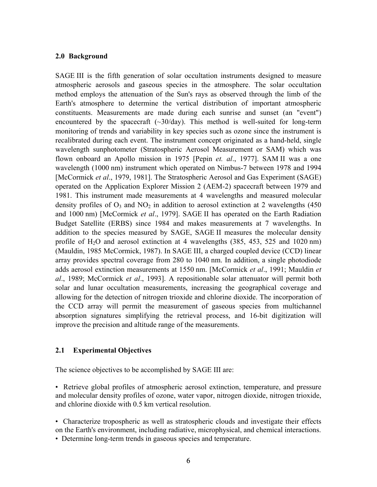#### <span id="page-8-0"></span>**2.0 Background**

SAGE III is the fifth generation of solar occultation instruments designed to measure atmospheric aerosols and gaseous species in the atmosphere. The solar occultation method employs the attenuation of the Sun's rays as observed through the limb of the Earth's atmosphere to determine the vertical distribution of important atmospheric constituents. Measurements are made during each sunrise and sunset (an "event") encountered by the spacecraft  $(\sim 30/day)$ . This method is well-suited for long-term monitoring of trends and variability in key species such as ozone since the instrument is recalibrated during each event. The instrument concept originated as a hand-held, single wavelength sunphotometer (Stratospheric Aerosol Measurement or SAM) which was flown onboard an Apollo mission in 1975 [Pepin *et. al*., 1977]. SAM II was a one wavelength (1000 nm) instrument which operated on Nimbus-7 between 1978 and 1994 [McCormick *et al*., 1979, 1981]. The Stratospheric Aerosol and Gas Experiment (SAGE) operated on the Application Explorer Mission 2 (AEM-2) spacecraft between 1979 and 1981. This instrument made measurements at 4 wavelengths and measured molecular density profiles of  $O_3$  and NO<sub>2</sub> in addition to aerosol extinction at 2 wavelengths (450) and 1000 nm) [McCormick *et al*., 1979]. SAGE II has operated on the Earth Radiation Budget Satellite (ERBS) since 1984 and makes measurements at 7 wavelengths. In addition to the species measured by SAGE, SAGE II measures the molecular density profile of  $H<sub>2</sub>O$  and aerosol extinction at 4 wavelengths (385, 453, 525 and 1020 nm) (Mauldin, 1985 McCormick, 1987). In SAGE III, a charged coupled device (CCD) linear array provides spectral coverage from 280 to 1040 nm. In addition, a single photodiode adds aerosol extinction measurements at 1550 nm. [McCormick *et al*., 1991; Mauldin *et al*., 1989; McCormick *et al*., 1993]. A repositionable solar attenuator will permit both solar and lunar occultation measurements, increasing the geographical coverage and allowing for the detection of nitrogen trioxide and chlorine dioxide. The incorporation of the CCD array will permit the measurement of gaseous species from multichannel absorption signatures simplifying the retrieval process, and 16-bit digitization will improve the precision and altitude range of the measurements.

#### **2.1 Experimental Objectives**

The science objectives to be accomplished by SAGE III are:

• Retrieve global profiles of atmospheric aerosol extinction, temperature, and pressure and molecular density profiles of ozone, water vapor, nitrogen dioxide, nitrogen trioxide, and chlorine dioxide with 0.5 km vertical resolution.

• Characterize tropospheric as well as stratospheric clouds and investigate their effects on the Earth's environment, including radiative, microphysical, and chemical interactions.

• Determine long-term trends in gaseous species and temperature.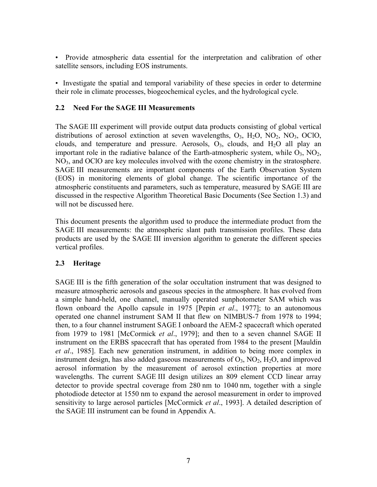<span id="page-9-0"></span>• Provide atmospheric data essential for the interpretation and calibration of other satellite sensors, including EOS instruments.

• Investigate the spatial and temporal variability of these species in order to determine their role in climate processes, biogeochemical cycles, and the hydrological cycle.

### **2.2 Need For the SAGE III Measurements**

The SAGE III experiment will provide output data products consisting of global vertical distributions of aerosol extinction at seven wavelengths,  $O_3$ ,  $H_2O$ ,  $NO_2$ ,  $NO_3$ ,  $OClO$ , clouds, and temperature and pressure. Aerosols,  $O_3$ , clouds, and  $H_2O$  all play an important role in the radiative balance of the Earth-atmospheric system, while  $O_3$ ,  $NO_2$ , NO<sub>3</sub>, and OClO are key molecules involved with the ozone chemistry in the stratosphere. SAGE III measurements are important components of the Earth Observation System (EOS) in monitoring elements of global change. The scientific importance of the atmospheric constituents and parameters, such as temperature, measured by SAGE III are discussed in the respective Algorithm Theoretical Basic Documents (See Section 1.3) and will not be discussed here.

This document presents the algorithm used to produce the intermediate product from the SAGE III measurements: the atmospheric slant path transmission profiles. These data products are used by the SAGE III inversion algorithm to generate the different species vertical profiles.

# **2.3 Heritage**

SAGE III is the fifth generation of the solar occultation instrument that was designed to measure atmospheric aerosols and gaseous species in the atmosphere. It has evolved from a simple hand-held, one channel, manually operated sunphotometer SAM which was flown onboard the Apollo capsule in 1975 [Pepin *et al*., 1977]; to an autonomous operated one channel instrument SAM II that flew on NIMBUS-7 from 1978 to 1994; then, to a four channel instrument SAGE I onboard the AEM-2 spacecraft which operated from 1979 to 1981 [McCormick *et al*., 1979]; and then to a seven channel SAGE II instrument on the ERBS spacecraft that has operated from 1984 to the present [Mauldin *et al*., 1985]. Each new generation instrument, in addition to being more complex in instrument design, has also added gaseous measurements of  $O_3$ ,  $NO_2$ ,  $H_2O$ , and improved aerosol information by the measurement of aerosol extinction properties at more wavelengths. The current SAGE III design utilizes an 809 element CCD linear array detector to provide spectral coverage from 280 nm to 1040 nm, together with a single photodiode detector at 1550 nm to expand the aerosol measurement in order to improved sensitivity to large aerosol particles [McCormick *et al*., 1993]. A detailed description of the SAGE III instrument can be found in Appendix A.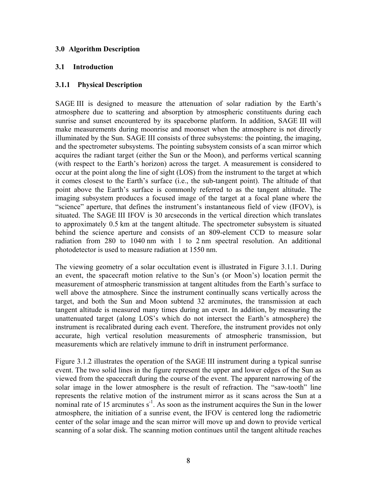### <span id="page-10-0"></span>**3.0 Algorithm Description**

### **3.1 Introduction**

### **3.1.1 Physical Description**

SAGE III is designed to measure the attenuation of solar radiation by the Earth's atmosphere due to scattering and absorption by atmospheric constituents during each sunrise and sunset encountered by its spaceborne platform. In addition, SAGE III will make measurements during moonrise and moonset when the atmosphere is not directly illuminated by the Sun. SAGE III consists of three subsystems: the pointing, the imaging, and the spectrometer subsystems. The pointing subsystem consists of a scan mirror which acquires the radiant target (either the Sun or the Moon), and performs vertical scanning (with respect to the Earth's horizon) across the target. A measurement is considered to occur at the point along the line of sight (LOS) from the instrument to the target at which it comes closest to the Earth's surface (i.e., the sub-tangent point). The altitude of that point above the Earth's surface is commonly referred to as the tangent altitude. The imaging subsystem produces a focused image of the target at a focal plane where the "science" aperture, that defines the instrument's instantaneous field of view (IFOV), is situated. The SAGE III IFOV is 30 arcseconds in the vertical direction which translates to approximately 0.5 km at the tangent altitude. The spectrometer subsystem is situated behind the science aperture and consists of an 809-element CCD to measure solar radiation from 280 to 1040 nm with 1 to 2 nm spectral resolution. An additional photodetector is used to measure radiation at 1550 nm.

The viewing geometry of a solar occultation event is illustrated in [Figure 3.1.1.](#page-12-0) During an event, the spacecraft motion relative to the Sun's (or Moon's) location permit the measurement of atmospheric transmission at tangent altitudes from the Earth's surface to well above the atmosphere. Since the instrument continually scans vertically across the target, and both the Sun and Moon subtend 32 arcminutes, the transmission at each tangent altitude is measured many times during an event. In addition, by measuring the unattenuated target (along LOS's which do not intersect the Earth's atmosphere) the instrument is recalibrated during each event. Therefore, the instrument provides not only accurate, high vertical resolution measurements of atmospheric transmission, but measurements which are relatively immune to drift in instrument performance.

[Figure 3.1.2](#page-12-1) illustrates the operation of the SAGE III instrument during a typical sunrise event. The two solid lines in the figure represent the upper and lower edges of the Sun as viewed from the spacecraft during the course of the event. The apparent narrowing of the solar image in the lower atmosphere is the result of refraction. The "saw-tooth" line represents the relative motion of the instrument mirror as it scans across the Sun at a nominal rate of 15 arcminutes  $s^{-1}$ . As soon as the instrument acquires the Sun in the lower atmosphere, the initiation of a sunrise event, the IFOV is centered long the radiometric center of the solar image and the scan mirror will move up and down to provide vertical scanning of a solar disk. The scanning motion continues until the tangent altitude reaches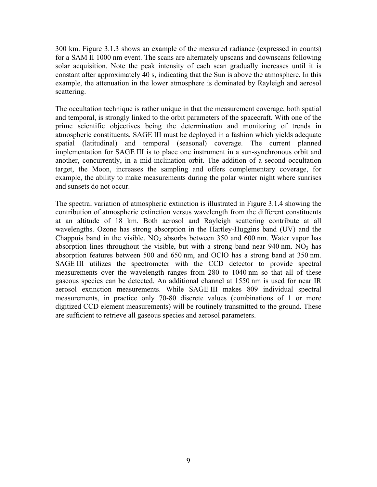300 km. [Figure 3.1.3](#page-13-1) shows an example of the measured radiance (expressed in counts) for a SAM II 1000 nm event. The scans are alternately upscans and downscans following solar acquisition. Note the peak intensity of each scan gradually increases until it is constant after approximately 40 s, indicating that the Sun is above the atmosphere. In this example, the attenuation in the lower atmosphere is dominated by Rayleigh and aerosol scattering.

The occultation technique is rather unique in that the measurement coverage, both spatial and temporal, is strongly linked to the orbit parameters of the spacecraft. With one of the prime scientific objectives being the determination and monitoring of trends in atmospheric constituents, SAGE III must be deployed in a fashion which yields adequate spatial (latitudinal) and temporal (seasonal) coverage. The current planned implementation for SAGE III is to place one instrument in a sun-synchronous orbit and another, concurrently, in a mid-inclination orbit. The addition of a second occultation target, the Moon, increases the sampling and offers complementary coverage, for example, the ability to make measurements during the polar winter night where sunrises and sunsets do not occur.

The spectral variation of atmospheric extinction is illustrated in [Figure 3.1.4](#page-13-2) showing the contribution of atmospheric extinction versus wavelength from the different constituents at an altitude of 18 km. Both aerosol and Rayleigh scattering contribute at all wavelengths. Ozone has strong absorption in the Hartley-Huggins band (UV) and the Chappuis band in the visible.  $NO<sub>2</sub>$  absorbs between 350 and 600 nm. Water vapor has absorption lines throughout the visible, but with a strong band near  $940 \text{ nm}$ . NO<sub>3</sub> has absorption features between 500 and 650 nm, and OClO has a strong band at 350 nm. SAGE III utilizes the spectrometer with the CCD detector to provide spectral measurements over the wavelength ranges from 280 to 1040 nm so that all of these gaseous species can be detected. An additional channel at 1550 nm is used for near IR aerosol extinction measurements. While SAGE III makes 809 individual spectral measurements, in practice only 70-80 discrete values (combinations of 1 or more digitized CCD element measurements) will be routinely transmitted to the ground. These are sufficient to retrieve all gaseous species and aerosol parameters.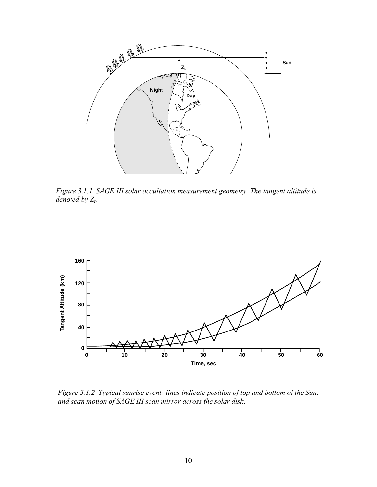

<span id="page-12-0"></span>*Figure 3.1.1 SAGE III solar occultation measurement geometry. The tangent altitude is denoted by Z<sub>t</sub>.* 



<span id="page-12-1"></span>*Figure 3.1.2 Typical sunrise event: lines indicate position of top and bottom of the Sun, and scan motion of SAGE III scan mirror across the solar disk*.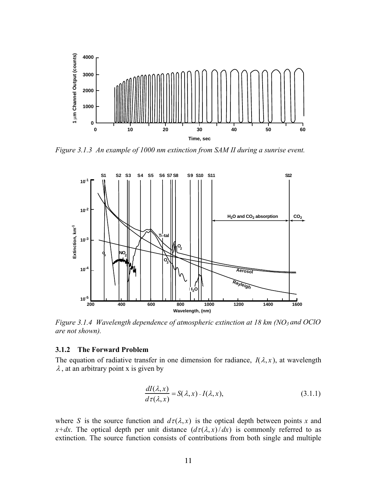<span id="page-13-0"></span>

<span id="page-13-1"></span>*Figure 3.1.3 An example of 1000 nm extinction from SAM II during a sunrise event.*



<span id="page-13-2"></span>*Figure 3.1.4 Wavelength dependence of atmospheric extinction at 18 km (NO<sub>3</sub> and OClO are not shown).* 

#### **3.1.2 The Forward Problem**

The equation of radiative transfer in one dimension for radiance,  $I(\lambda, x)$ , at wavelength  $\lambda$ , at an arbitrary point x is given by

<span id="page-13-3"></span>
$$
\frac{dI(\lambda, x)}{d\tau(\lambda, x)} = S(\lambda, x) - I(\lambda, x),\tag{3.1.1}
$$

where *S* is the source function and  $d\tau(\lambda, x)$  is the optical depth between points *x* and *x+dx*. The optical depth per unit distance  $(d\tau(\lambda, x)/dx)$  is commonly referred to as extinction. The source function consists of contributions from both single and multiple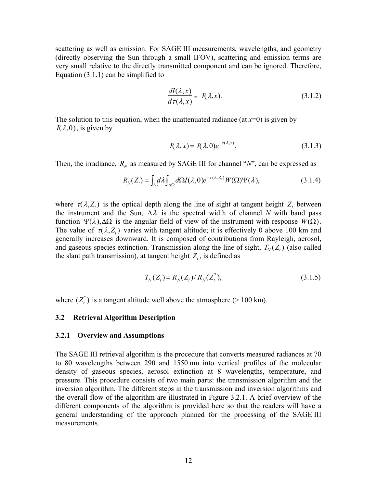<span id="page-14-0"></span>scattering as well as emission. For SAGE III measurements, wavelengths, and geometry (directly observing the Sun through a small IFOV), scattering and emission terms are very small relative to the directly transmitted component and can be ignored. Therefore, Equation  $(3.1.1)$  can be simplified to

$$
\frac{dI(\lambda, x)}{d\tau(\lambda, x)} = -I(\lambda, x). \tag{3.1.2}
$$

The solution to this equation, when the unattenuated radiance (at  $x=0$ ) is given by  $I(\lambda,0)$ , is given by

$$
I(\lambda, x) = I(\lambda, 0)e^{-\tau(\lambda, x)}.\tag{3.1.3}
$$

Then, the irradiance,  $R_N$  as measured by SAGE III for channel " $N$ ", can be expressed as

<span id="page-14-1"></span>
$$
R_N(Z_t) = \int_{\Delta \lambda} d\lambda \int_{\Delta \Omega} d\Omega I(\lambda, 0) e^{-\tau(\lambda, Z_t)} W(\Omega) \Psi(\lambda), \tag{3.1.4}
$$

where  $\tau(\lambda, Z_t)$  is the optical depth along the line of sight at tangent height  $Z_t$  between the instrument and the Sun,  $\Delta \lambda$  is the spectral width of channel *N* with band pass function Ψ(λ),∆Ω is the angular field of view of the instrument with response *W*(Ω). The value of  $\tau(\lambda, Z_1)$  varies with tangent altitude; it is effectively 0 above 100 km and generally increases downward. It is composed of contributions from Rayleigh, aerosol, and gaseous species extinction. Transmission along the line of sight,  $T_{N}(Z_t)$  (also called the slant path transmission), at tangent height  $Z_t$ , is defined as

$$
T_N(Z_t) = R_N(Z_t) / R_N(Z_t^*),
$$
\n(3.1.5)

where  $(Z_t^*)$  is a tangent altitude well above the atmosphere (> 100 km).

#### **3.2 Retrieval Algorithm Description**

#### **3.2.1 Overview and Assumptions**

The SAGE III retrieval algorithm is the procedure that converts measured radiances at 70 to 80 wavelengths between 290 and 1550 nm into vertical profiles of the molecular density of gaseous species, aerosol extinction at 8 wavelengths, temperature, and pressure. This procedure consists of two main parts: the transmission algorithm and the inversion algorithm. The different steps in the transmission and inversion algorithms and the overall flow of the algorithm are illustrated in [Figure 3.2.1.](#page-17-0) A brief overview of the different components of the algorithm is provided here so that the readers will have a general understanding of the approach planned for the processing of the SAGE III measurements.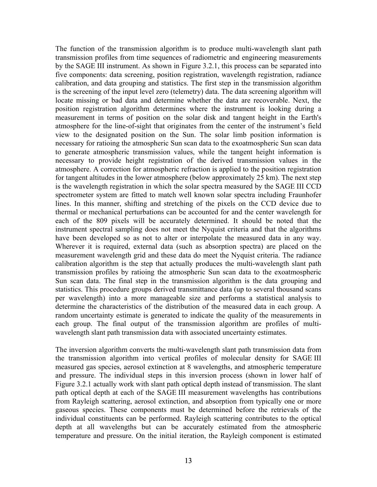The function of the transmission algorithm is to produce multi-wavelength slant path transmission profiles from time sequences of radiometric and engineering measurements by the SAGE III instrument. As shown in [Figure 3.2.1,](#page-17-0) this process can be separated into five components: data screening, position registration, wavelength registration, radiance calibration, and data grouping and statistics. The first step in the transmission algorithm is the screening of the input level zero (telemetry) data. The data screening algorithm will locate missing or bad data and determine whether the data are recoverable. Next, the position registration algorithm determines where the instrument is looking during a measurement in terms of position on the solar disk and tangent height in the Earth's atmosphere for the line-of-sight that originates from the center of the instrument's field view to the designated position on the Sun. The solar limb position information is necessary for ratioing the atmospheric Sun scan data to the exoatmospheric Sun scan data to generate atmospheric transmission values, while the tangent height information is necessary to provide height registration of the derived transmission values in the atmosphere. A correction for atmospheric refraction is applied to the position registration for tangent altitudes in the lower atmosphere (below approximately 25 km). The next step is the wavelength registration in which the solar spectra measured by the SAGE III CCD spectrometer system are fitted to match well known solar spectra including Fraunhofer lines. In this manner, shifting and stretching of the pixels on the CCD device due to thermal or mechanical perturbations can be accounted for and the center wavelength for each of the 809 pixels will be accurately determined. It should be noted that the instrument spectral sampling does not meet the Nyquist criteria and that the algorithms have been developed so as not to alter or interpolate the measured data in any way. Wherever it is required, external data (such as absorption spectra) are placed on the measurement wavelength grid and these data do meet the Nyquist criteria. The radiance calibration algorithm is the step that actually produces the multi-wavelength slant path transmission profiles by ratioing the atmospheric Sun scan data to the exoatmospheric Sun scan data. The final step in the transmission algorithm is the data grouping and statistics. This procedure groups derived transmittance data (up to several thousand scans per wavelength) into a more manageable size and performs a statistical analysis to determine the characteristics of the distribution of the measured data in each group. A random uncertainty estimate is generated to indicate the quality of the measurements in each group. The final output of the transmission algorithm are profiles of multiwavelength slant path transmission data with associated uncertainty estimates.

The inversion algorithm converts the multi-wavelength slant path transmission data from the transmission algorithm into vertical profiles of molecular density for SAGE III measured gas species, aerosol extinction at 8 wavelengths, and atmospheric temperature and pressure. The individual steps in this inversion process (shown in lower half of [Figure 3.2.1](#page-17-0) actually work with slant path optical depth instead of transmission. The slant path optical depth at each of the SAGE III measurement wavelengths has contributions from Rayleigh scattering, aerosol extinction, and absorption from typically one or more gaseous species. These components must be determined before the retrievals of the individual constituents can be performed. Rayleigh scattering contributes to the optical depth at all wavelengths but can be accurately estimated from the atmospheric temperature and pressure. On the initial iteration, the Rayleigh component is estimated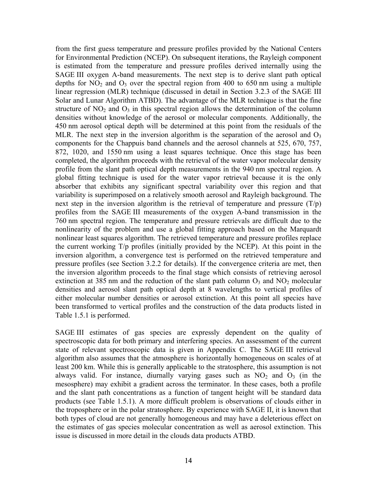from the first guess temperature and pressure profiles provided by the National Centers for Environmental Prediction (NCEP). On subsequent iterations, the Rayleigh component is estimated from the temperature and pressure profiles derived internally using the SAGE III oxygen A-band measurements. The next step is to derive slant path optical depths for  $NO<sub>2</sub>$  and  $O<sub>3</sub>$  over the spectral region from 400 to 650 nm using a multiple linear regression (MLR) technique (discussed in detail in Section 3.2.3 of the SAGE III Solar and Lunar Algorithm ATBD). The advantage of the MLR technique is that the fine structure of  $NO<sub>2</sub>$  and  $O<sub>3</sub>$  in this spectral region allows the determination of the column densities without knowledge of the aerosol or molecular components. Additionally, the 450 nm aerosol optical depth will be determined at this point from the residuals of the MLR. The next step in the inversion algorithm is the separation of the aerosol and  $O<sub>3</sub>$ components for the Chappuis band channels and the aerosol channels at 525, 670, 757, 872, 1020, and 1550 nm using a least squares technique. Once this stage has been completed, the algorithm proceeds with the retrieval of the water vapor molecular density profile from the slant path optical depth measurements in the 940 nm spectral region. A global fitting technique is used for the water vapor retrieval because it is the only absorber that exhibits any significant spectral variability over this region and that variability is superimposed on a relatively smooth aerosol and Rayleigh background. The next step in the inversion algorithm is the retrieval of temperature and pressure  $(T/p)$ profiles from the SAGE III measurements of the oxygen A-band transmission in the 760 nm spectral region. The temperature and pressure retrievals are difficult due to the nonlinearity of the problem and use a global fitting approach based on the Marquardt nonlinear least squares algorithm. The retrieved temperature and pressure profiles replace the current working T/p profiles (initially provided by the NCEP). At this point in the inversion algorithm, a convergence test is performed on the retrieved temperature and pressure profiles (see Section [3.2.2](#page-18-1) for details). If the convergence criteria are met, then the inversion algorithm proceeds to the final stage which consists of retrieving aerosol extinction at 385 nm and the reduction of the slant path column  $O_3$  and  $NO_2$  molecular densities and aerosol slant path optical depth at 8 wavelengths to vertical profiles of either molecular number densities or aerosol extinction. At this point all species have been transformed to vertical profiles and the construction of the data products listed in [Table 1.5.1](#page-7-1) is performed.

SAGE III estimates of gas species are expressly dependent on the quality of spectroscopic data for both primary and interfering species. An assessment of the current state of relevant spectroscopic data is given in Appendix C. The SAGE III retrieval algorithm also assumes that the atmosphere is horizontally homogeneous on scales of at least 200 km. While this is generally applicable to the stratosphere, this assumption is not always valid. For instance, diurnally varying gases such as  $NO<sub>2</sub>$  and  $O<sub>3</sub>$  (in the mesosphere) may exhibit a gradient across the terminator. In these cases, both a profile and the slant path concentrations as a function of tangent height will be standard data products (see [Table 1.5.1\)](#page-7-1). A more difficult problem is observations of clouds either in the troposphere or in the polar stratosphere. By experience with SAGE II, it is known that both types of cloud are not generally homogeneous and may have a deleterious effect on the estimates of gas species molecular concentration as well as aerosol extinction. This issue is discussed in more detail in the clouds data products ATBD.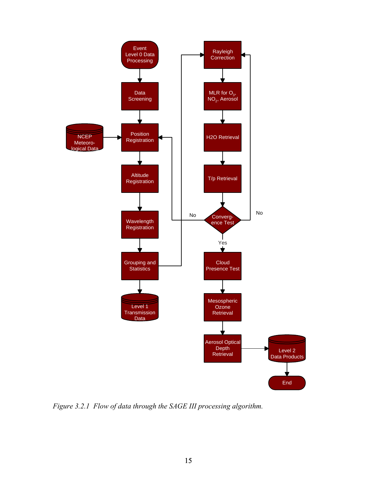

<span id="page-17-0"></span>*Figure 3.2.1 Flow of data through the SAGE III processing algorithm.*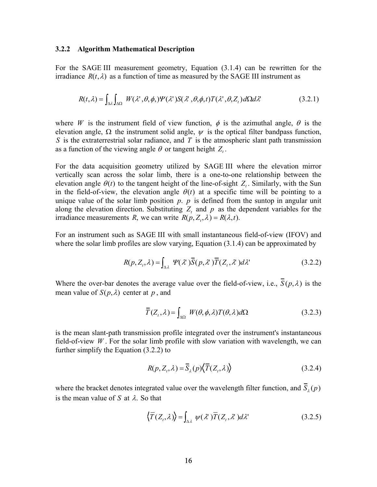#### <span id="page-18-1"></span><span id="page-18-0"></span>**3.2.2 Algorithm Mathematical Description**

For the SAGE III measurement geometry, Equatio[n \(3.1.4\)](#page-14-1) can be rewritten for the irradiance  $R(t, \lambda)$  as a function of time as measured by the SAGE III instrument as

$$
R(t,\lambda) = \int_{\Delta\lambda} \int_{\Delta\Omega} W(\lambda',\theta,\phi,)\Psi(\lambda')S(\lambda',\theta,\phi,t)T(\lambda',\theta,Z_t)d\Omega d\lambda' \tag{3.2.1}
$$

where *W* is the instrument field of view function,  $\phi$  is the azimuthal angle,  $\theta$  is the elevation angle,  $\Omega$  the instrument solid angle,  $\psi$  is the optical filter bandpass function, *S* is the extraterrestrial solar radiance, and *T* is the atmospheric slant path transmission as a function of the viewing angle  $\theta$  or tangent height  $Z_t$ .

For the data acquisition geometry utilized by SAGE III where the elevation mirror vertically scan across the solar limb, there is a one-to-one relationship between the elevation angle  $\theta(t)$  to the tangent height of the line-of-sight  $Z_t$ . Similarly, with the Sun in the field-of-view, the elevation angle  $\theta(t)$  at a specific time will be pointing to a unique value of the solar limb position  $p$ .  $p$  is defined from the suntop in angular unit along the elevation direction. Substituting  $Z_t$  and  $p$  as the dependent variables for the irradiance measurements *R*, we can write  $R(p, Z_t, \lambda) = R(\lambda, t)$ .

For an instrument such as SAGE III with small instantaneous field-of-view (IFOV) and where the solar limb profiles are slow varying, Equatio[n \(3.1.4\)](#page-14-1) can be approximated by

$$
R(p, Z_{\iota}, \lambda) = \int_{\Delta \lambda} \Psi(\lambda) \overline{S}(p, \lambda') \overline{T}(Z_{\iota}, \lambda') d\lambda' \tag{3.2.2}
$$

Where the over-bar denotes the average value over the field-of-view, i.e.,  $\overline{S}(p,\lambda)$  is the mean value of  $S(p, \lambda)$  center at p, and

<span id="page-18-2"></span>
$$
\overline{T}(Z_t, \lambda) = \int_{\Delta\Omega} W(\theta, \phi, \lambda) T(\theta, \lambda) d\Omega
$$
\n(3.2.3)

is the mean slant-path transmission profile integrated over the instrument's instantaneous field-of-view *W* . For the solar limb profile with slow variation with wavelength, we can further simplify the Equation [\(3.2.2\)](#page-18-2) to

$$
R(p, Z_t, \lambda) = \overline{S}_{\lambda}(p)\langle \overline{T}(Z_t, \lambda) \rangle
$$
\n(3.2.4)

where the bracket denotes integrated value over the wavelength filter function, and  $S_\lambda(p)$ is the mean value of S at  $\lambda$ . So that

$$
\langle \overline{T}(Z_t, \lambda) \rangle = \int_{\Delta \lambda} \psi(\lambda^*) \overline{T}(Z_t, \lambda^*) d\lambda^* \tag{3.2.5}
$$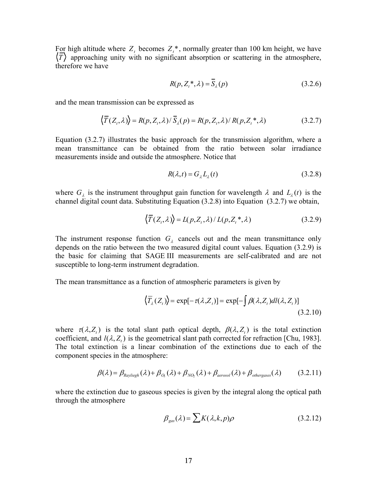For high altitude where  $Z_t$  becomes  $Z_t^*$ , normally greater than 100 km height, we have  $\langle \overline{T} \rangle$  approaching unity with no significant absorption or scattering in the atmosphere, therefore we have

<span id="page-19-0"></span>
$$
R(p, Z_t^*, \lambda) = \overline{S}_{\lambda}(p) \tag{3.2.6}
$$

and the mean transmission can be expressed as

$$
\langle \overline{T}(Z_t, \lambda) \rangle = R(p, Z_t, \lambda) / \overline{S}_{\lambda}(p) = R(p, Z_t, \lambda) / R(p, Z_t^*, \lambda)
$$
\n(3.2.7)

Equatio[n \(3.2.7\)](#page-19-0) illustrates the basic approach for the transmission algorithm, where a mean transmittance can be obtained from the ratio between solar irradiance measurements inside and outside the atmosphere. Notice that

<span id="page-19-2"></span><span id="page-19-1"></span>
$$
R(\lambda, t) = G_{\lambda} L_{\lambda}(t) \tag{3.2.8}
$$

where  $G_{\lambda}$  is the instrument throughput gain function for wavelength  $\lambda$  and  $L_{\lambda}(t)$  is the channel digital count data. Substituting Equatio[n \(3.2.8\)](#page-19-1) into Equation [\(3.2.7\)](#page-19-0) we obtain,

$$
\langle \overline{T}(Z_t, \lambda) \rangle = L(p, Z_t, \lambda) / L(p, Z_t^*, \lambda)
$$
\n(3.2.9)

The instrument response function  $G_{\lambda}$  cancels out and the mean transmittance only depends on the ratio between the two measured digital count values. Equatio[n \(3.2.9\)](#page-19-2) is the basic for claiming that SAGE III measurements are self-calibrated and are not susceptible to long-term instrument degradation.

The mean transmittance as a function of atmospheric parameters is given by

<span id="page-19-3"></span>
$$
\langle \overline{T}_{\lambda}(Z_{t}) \rangle = \exp[-\tau(\lambda, Z_{t})] = \exp[-\int \beta(\lambda, Z_{t}) dl(\lambda, Z_{t})]
$$
\n(3.2.10)

where  $\tau(\lambda, Z_t)$  is the total slant path optical depth,  $\beta(\lambda, Z_t)$  is the total extinction coefficient, and  $l(\lambda, Z_t)$  is the geometrical slant path corrected for refraction [Chu, 1983]. The total extinction is a linear combination of the extinctions due to each of the component species in the atmosphere:

$$
\beta(\lambda) = \beta_{\text{Rayliegh}}(\lambda) + \beta_{\text{O}_3}(\lambda) + \beta_{\text{NO}_2}(\lambda) + \beta_{\text{aerosol}}(\lambda) + \beta_{\text{others}}(\lambda)
$$
(3.2.11)

where the extinction due to gaseous species is given by the integral along the optical path through the atmosphere

$$
\beta_{\rm gas}(\lambda) = \sum K(\lambda, k, p)\rho \tag{3.2.12}
$$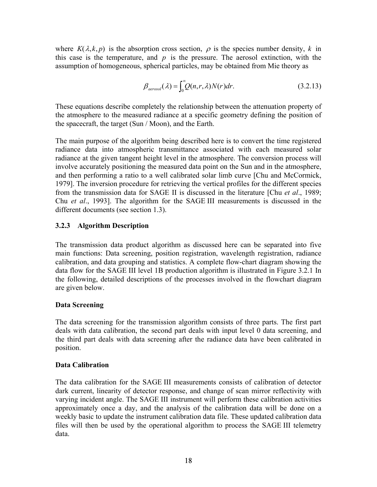<span id="page-20-0"></span>where  $K(\lambda, k, p)$  is the absorption cross section,  $\rho$  is the species number density, k in this case is the temperature, and  $p$  is the pressure. The aerosol extinction, with the assumption of homogeneous, spherical particles, may be obtained from Mie theory as

$$
\beta_{\text{aerosol}}(\lambda) = \int_0^\infty Q(n, r, \lambda) N(r) dr.
$$
\n(3.2.13)

These equations describe completely the relationship between the attenuation property of the atmosphere to the measured radiance at a specific geometry defining the position of the spacecraft, the target (Sun / Moon), and the Earth.

The main purpose of the algorithm being described here is to convert the time registered radiance data into atmospheric transmittance associated with each measured solar radiance at the given tangent height level in the atmosphere. The conversion process will involve accurately positioning the measured data point on the Sun and in the atmosphere, and then performing a ratio to a well calibrated solar limb curve [Chu and McCormick, 1979]. The inversion procedure for retrieving the vertical profiles for the different species from the transmission data for SAGE II is discussed in the literature [Chu *et al*., 1989; Chu *et al*., 1993]. The algorithm for the SAGE III measurements is discussed in the different documents (see section 1.3).

### **3.2.3 Algorithm Description**

The transmission data product algorithm as discussed here can be separated into five main functions: Data screening, position registration, wavelength registration, radiance calibration, and data grouping and statistics. A complete flow-chart diagram showing the data flow for the SAGE III level 1B production algorithm is illustrated in [Figure 3.2.1](#page-17-0) In the following, detailed descriptions of the processes involved in the flowchart diagram are given below.

#### **Data Screening**

The data screening for the transmission algorithm consists of three parts. The first part deals with data calibration, the second part deals with input level 0 data screening, and the third part deals with data screening after the radiance data have been calibrated in position.

#### **Data Calibration**

The data calibration for the SAGE III measurements consists of calibration of detector dark current, linearity of detector response, and change of scan mirror reflectivity with varying incident angle. The SAGE III instrument will perform these calibration activities approximately once a day, and the analysis of the calibration data will be done on a weekly basic to update the instrument calibration data file. These updated calibration data files will then be used by the operational algorithm to process the SAGE III telemetry data.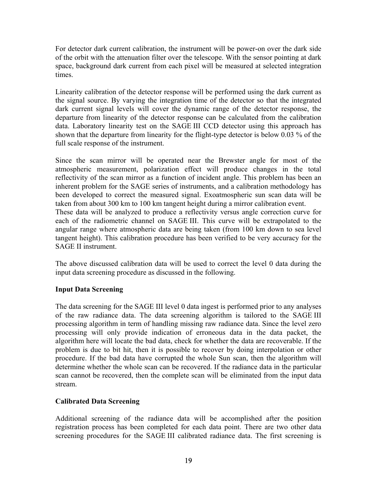For detector dark current calibration, the instrument will be power-on over the dark side of the orbit with the attenuation filter over the telescope. With the sensor pointing at dark space, background dark current from each pixel will be measured at selected integration times.

Linearity calibration of the detector response will be performed using the dark current as the signal source. By varying the integration time of the detector so that the integrated dark current signal levels will cover the dynamic range of the detector response, the departure from linearity of the detector response can be calculated from the calibration data. Laboratory linearity test on the SAGE III CCD detector using this approach has shown that the departure from linearity for the flight-type detector is below 0.03 % of the full scale response of the instrument.

Since the scan mirror will be operated near the Brewster angle for most of the atmospheric measurement, polarization effect will produce changes in the total reflectivity of the scan mirror as a function of incident angle. This problem has been an inherent problem for the SAGE series of instruments, and a calibration methodology has been developed to correct the measured signal. Exoatmospheric sun scan data will be taken from about 300 km to 100 km tangent height during a mirror calibration event. These data will be analyzed to produce a reflectivity versus angle correction curve for each of the radiometric channel on SAGE III. This curve will be extrapolated to the angular range where atmospheric data are being taken (from 100 km down to sea level tangent height). This calibration procedure has been verified to be very accuracy for the SAGE II instrument.

The above discussed calibration data will be used to correct the level 0 data during the input data screening procedure as discussed in the following.

### **Input Data Screening**

The data screening for the SAGE III level 0 data ingest is performed prior to any analyses of the raw radiance data. The data screening algorithm is tailored to the SAGE III processing algorithm in term of handling missing raw radiance data. Since the level zero processing will only provide indication of erroneous data in the data packet, the algorithm here will locate the bad data, check for whether the data are recoverable. If the problem is due to bit hit, then it is possible to recover by doing interpolation or other procedure. If the bad data have corrupted the whole Sun scan, then the algorithm will determine whether the whole scan can be recovered. If the radiance data in the particular scan cannot be recovered, then the complete scan will be eliminated from the input data stream.

# **Calibrated Data Screening**

Additional screening of the radiance data will be accomplished after the position registration process has been completed for each data point. There are two other data screening procedures for the SAGE III calibrated radiance data. The first screening is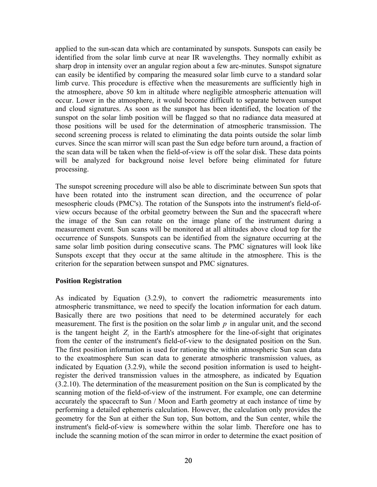applied to the sun-scan data which are contaminated by sunspots. Sunspots can easily be identified from the solar limb curve at near IR wavelengths. They normally exhibit as sharp drop in intensity over an angular region about a few arc-minutes. Sunspot signature can easily be identified by comparing the measured solar limb curve to a standard solar limb curve. This procedure is effective when the measurements are sufficiently high in the atmosphere, above 50 km in altitude where negligible atmospheric attenuation will occur. Lower in the atmosphere, it would become difficult to separate between sunspot and cloud signatures. As soon as the sunspot has been identified, the location of the sunspot on the solar limb position will be flagged so that no radiance data measured at those positions will be used for the determination of atmospheric transmission. The second screening process is related to eliminating the data points outside the solar limb curves. Since the scan mirror will scan past the Sun edge before turn around, a fraction of the scan data will be taken when the field-of-view is off the solar disk. These data points will be analyzed for background noise level before being eliminated for future processing.

The sunspot screening procedure will also be able to discriminate between Sun spots that have been rotated into the instrument scan direction, and the occurrence of polar mesospheric clouds (PMC's). The rotation of the Sunspots into the instrument's field-ofview occurs because of the orbital geometry between the Sun and the spacecraft where the image of the Sun can rotate on the image plane of the instrument during a measurement event. Sun scans will be monitored at all altitudes above cloud top for the occurrence of Sunspots. Sunspots can be identified from the signature occurring at the same solar limb position during consecutive scans. The PMC signatures will look like Sunspots except that they occur at the same altitude in the atmosphere. This is the criterion for the separation between sunspot and PMC signatures.

#### **Position Registration**

As indicated by Equatio[n \(3.2.9\)](#page-19-2), to convert the radiometric measurements into atmospheric transmittance, we need to specify the location information for each datum. Basically there are two positions that need to be determined accurately for each measurement. The first is the position on the solar limb *p* in angular unit, and the second is the tangent height  $Z_t$  in the Earth's atmosphere for the line-of-sight that originates from the center of the instrument's field-of-view to the designated position on the Sun. The first position information is used for rationing the within atmospheric Sun scan data to the exoatmosphere Sun scan data to generate atmospheric transmission values, as indicated by Equatio[n \(3.2.9\)](#page-19-2), while the second position information is used to heightregister the derived transmission values in the atmosphere, as indicated by Equation [\(3.2.10\)](#page-19-3). The determination of the measurement position on the Sun is complicated by the scanning motion of the field-of-view of the instrument. For example, one can determine accurately the spacecraft to Sun / Moon and Earth geometry at each instance of time by performing a detailed ephemeris calculation. However, the calculation only provides the geometry for the Sun at either the Sun top, Sun bottom, and the Sun center, while the instrument's field-of-view is somewhere within the solar limb. Therefore one has to include the scanning motion of the scan mirror in order to determine the exact position of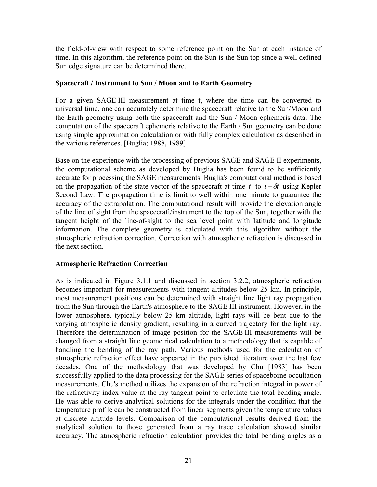the field-of-view with respect to some reference point on the Sun at each instance of time. In this algorithm, the reference point on the Sun is the Sun top since a well defined Sun edge signature can be determined there.

### **Spacecraft / Instrument to Sun / Moon and to Earth Geometry**

For a given SAGE III measurement at time t, where the time can be converted to universal time, one can accurately determine the spacecraft relative to the Sun/Moon and the Earth geometry using both the spacecraft and the Sun / Moon ephemeris data. The computation of the spacecraft ephemeris relative to the Earth / Sun geometry can be done using simple approximation calculation or with fully complex calculation as described in the various references. [Buglia; 1988, 1989]

Base on the experience with the processing of previous SAGE and SAGE II experiments, the computational scheme as developed by Buglia has been found to be sufficiently accurate for processing the SAGE measurements. Buglia's computational method is based on the propagation of the state vector of the spacecraft at time  $t$  to  $t + \delta t$  using Kepler Second Law. The propagation time is limit to well within one minute to guarantee the accuracy of the extrapolation. The computational result will provide the elevation angle of the line of sight from the spacecraft/instrument to the top of the Sun, together with the tangent height of the line-of-sight to the sea level point with latitude and longitude information. The complete geometry is calculated with this algorithm without the atmospheric refraction correction. Correction with atmospheric refraction is discussed in the next section.

### **Atmospheric Refraction Correction**

As is indicated in [Figure 3.1.1](#page-12-0) and discussed in section [3.2.2,](#page-18-1) atmospheric refraction becomes important for measurements with tangent altitudes below 25 km. In principle, most measurement positions can be determined with straight line light ray propagation from the Sun through the Earth's atmosphere to the SAGE III instrument. However, in the lower atmosphere, typically below 25 km altitude, light rays will be bent due to the varying atmospheric density gradient, resulting in a curved trajectory for the light ray. Therefore the determination of image position for the SAGE III measurements will be changed from a straight line geometrical calculation to a methodology that is capable of handling the bending of the ray path. Various methods used for the calculation of atmospheric refraction effect have appeared in the published literature over the last few decades. One of the methodology that was developed by Chu [1983] has been successfully applied to the data processing for the SAGE series of spaceborne occultation measurements. Chu's method utilizes the expansion of the refraction integral in power of the refractivity index value at the ray tangent point to calculate the total bending angle. He was able to derive analytical solutions for the integrals under the condition that the temperature profile can be constructed from linear segments given the temperature values at discrete altitude levels. Comparison of the computational results derived from the analytical solution to those generated from a ray trace calculation showed similar accuracy. The atmospheric refraction calculation provides the total bending angles as a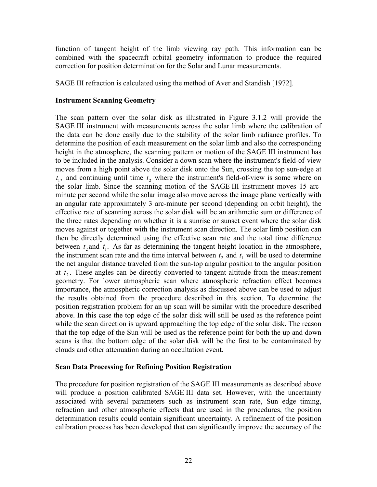function of tangent height of the limb viewing ray path. This information can be combined with the spacecraft orbital geometry information to produce the required correction for position determination for the Solar and Lunar measurements.

SAGE III refraction is calculated using the method of Aver and Standish [1972].

### **Instrument Scanning Geometry**

The scan pattern over the solar disk as illustrated in [Figure 3.1.2](#page-12-1) will provide the SAGE III instrument with measurements across the solar limb where the calibration of the data can be done easily due to the stability of the solar limb radiance profiles. To determine the position of each measurement on the solar limb and also the corresponding height in the atmosphere, the scanning pattern or motion of the SAGE III instrument has to be included in the analysis. Consider a down scan where the instrument's field-of-view moves from a high point above the solar disk onto the Sun, crossing the top sun-edge at  $t_1$ , and continuing until time  $t_2$  where the instrument's field-of-view is some where on the solar limb. Since the scanning motion of the SAGE III instrument moves 15 arcminute per second while the solar image also move across the image plane vertically with an angular rate approximately 3 arc-minute per second (depending on orbit height), the effective rate of scanning across the solar disk will be an arithmetic sum or difference of the three rates depending on whether it is a sunrise or sunset event where the solar disk moves against or together with the instrument scan direction. The solar limb position can then be directly determined using the effective scan rate and the total time difference between  $t_2$  and  $t_1$ . As far as determining the tangent height location in the atmosphere, the instrument scan rate and the time interval between  $t_2$  and  $t_1$  will be used to determine the net angular distance traveled from the sun-top angular position to the angular position at  $t_2$ . These angles can be directly converted to tangent altitude from the measurement geometry. For lower atmospheric scan where atmospheric refraction effect becomes importance, the atmospheric correction analysis as discussed above can be used to adjust the results obtained from the procedure described in this section. To determine the position registration problem for an up scan will be similar with the procedure described above. In this case the top edge of the solar disk will still be used as the reference point while the scan direction is upward approaching the top edge of the solar disk. The reason that the top edge of the Sun will be used as the reference point for both the up and down scans is that the bottom edge of the solar disk will be the first to be contaminated by clouds and other attenuation during an occultation event.

#### **Scan Data Processing for Refining Position Registration**

The procedure for position registration of the SAGE III measurements as described above will produce a position calibrated SAGE III data set. However, with the uncertainty associated with several parameters such as instrument scan rate, Sun edge timing, refraction and other atmospheric effects that are used in the procedures, the position determination results could contain significant uncertainty. A refinement of the position calibration process has been developed that can significantly improve the accuracy of the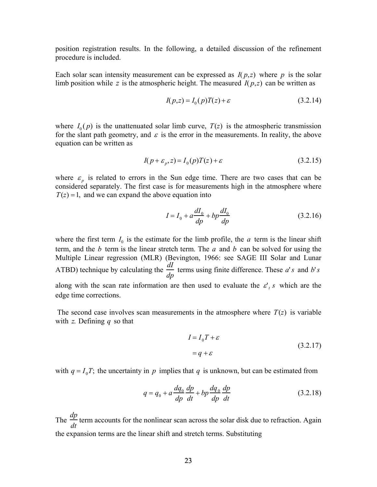position registration results. In the following, a detailed discussion of the refinement procedure is included.

Each solar scan intensity measurement can be expressed as  $I(p,z)$  where p is the solar limb position while z is the atmospheric height. The measured  $I(p,z)$  can be written as

$$
I(p,z) = I_0(p)T(z) + \varepsilon \tag{3.2.14}
$$

where  $I_0(p)$  is the unattenuated solar limb curve,  $T(z)$  is the atmospheric transmission for the slant path geometry, and  $\varepsilon$  is the error in the measurements. In reality, the above equation can be written as

$$
I(p + \varepsilon_p, z) = I_0(p)T(z) + \varepsilon
$$
\n(3.2.15)

where  $\varepsilon$ <sub>p</sub> is related to errors in the Sun edge time. There are two cases that can be considered separately. The first case is for measurements high in the atmosphere where  $T(z) = 1$ , and we can expand the above equation into

$$
I = I_0 + a\frac{dI_0}{dp} + bp\frac{dI_0}{dp}
$$
 (3.2.16)

where the first term  $I_0$  is the estimate for the limb profile, the *a* term is the linear shift term, and the  $b$  term is the linear stretch term. The  $a$  and  $b$  can be solved for using the Multiple Linear regression (MLR) (Bevington, 1966: see SAGE III Solar and Lunar ATBD) technique by calculating the *dI dp* terms using finite difference. These  $a's$  and  $b's$ along with the scan rate information are then used to evaluate the  $\varepsilon'$ , *s* which are the edge time corrections.

The second case involves scan measurements in the atmosphere where  $T(z)$  is variable with *z*. Defining *q* so that

$$
I = I_0 T + \varepsilon
$$
  
=  $q + \varepsilon$  (3.2.17)

with  $q = I_0 T$ ; the uncertainty in p implies that q is unknown, but can be estimated from

$$
q = q_0 + a\frac{dq_0}{dp}\frac{dp}{dt} + bp\frac{dq_0}{dp}\frac{dp}{dt}
$$
 (3.2.18)

The  $\frac{dp}{f}$ *dt* term accounts for the nonlinear scan across the solar disk due to refraction. Again the expansion terms are the linear shift and stretch terms. Substituting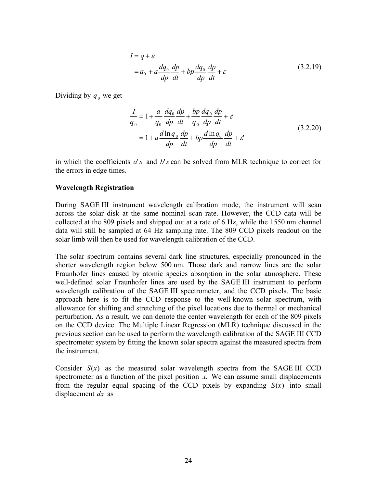$$
I = q + \varepsilon
$$
  
=  $q_0 + a \frac{dq_0}{dp} \frac{dp}{dt} + bp \frac{dq_0}{dp} \frac{dp}{dt} + \varepsilon$  (3.2.19)

Dividing by  $q_0$  we get

$$
\frac{I}{q_0} = 1 + \frac{a}{q_0} \frac{dq_0}{dp} \frac{dp}{dt} + \frac{bp}{q_0} \frac{dq_0}{dp} \frac{dp}{dt} + \varepsilon
$$
\n
$$
= 1 + a \frac{d \ln q_0}{dp} \frac{dp}{dt} + bp \frac{d \ln q_0}{dp} \frac{dp}{dt} + \varepsilon'
$$
\n(3.2.20)

in which the coefficients  $a$ 's and  $b$ 's can be solved from MLR technique to correct for the errors in edge times.

#### **Wavelength Registration**

During SAGE III instrument wavelength calibration mode, the instrument will scan across the solar disk at the same nominal scan rate. However, the CCD data will be collected at the 809 pixels and shipped out at a rate of 6 Hz, while the 1550 nm channel data will still be sampled at 64 Hz sampling rate. The 809 CCD pixels readout on the solar limb will then be used for wavelength calibration of the CCD.

The solar spectrum contains several dark line structures, especially pronounced in the shorter wavelength region below 500 nm. Those dark and narrow lines are the solar Fraunhofer lines caused by atomic species absorption in the solar atmosphere. These well-defined solar Fraunhofer lines are used by the SAGE III instrument to perform wavelength calibration of the SAGE III spectrometer, and the CCD pixels. The basic approach here is to fit the CCD response to the well-known solar spectrum, with allowance for shifting and stretching of the pixel locations due to thermal or mechanical perturbation. As a result, we can denote the center wavelength for each of the 809 pixels on the CCD device. The Multiple Linear Regression (MLR) technique discussed in the previous section can be used to perform the wavelength calibration of the SAGE III CCD spectrometer system by fitting the known solar spectra against the measured spectra from the instrument.

Consider  $S(x)$  as the measured solar wavelength spectra from the SAGE III CCD spectrometer as a function of the pixel position  $x$ . We can assume small displacements from the regular equal spacing of the CCD pixels by expanding *S*(*x*) into small displacement *dx* as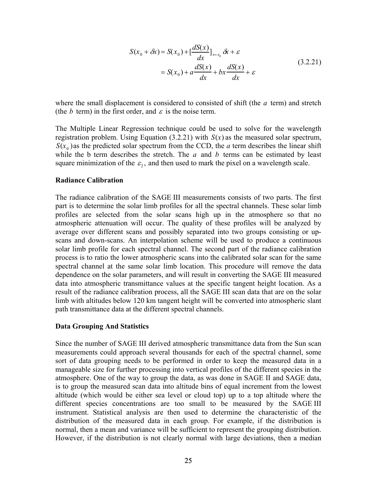<span id="page-27-0"></span>
$$
S(x_0 + \delta x) = S(x_0) + \left[\frac{dS(x)}{dx}\right]_{x=x_0} \delta x + \varepsilon
$$
  
=  $S(x_0) + a\frac{dS(x)}{dx} + bx\frac{dS(x)}{dx} + \varepsilon$  (3.2.21)

where the small displacement is considered to consisted of shift (the *a* term) and stretch (the *b* term) in the first order, and  $\varepsilon$  is the noise term.

The Multiple Linear Regression technique could be used to solve for the wavelength registration problem. Using Equation [\(3.2.21\)](#page-27-0) with *S*(*x*) as the measured solar spectrum,  $S(x_0)$  as the predicted solar spectrum from the CCD, the *a* term describes the linear shift while the *b* term describes the stretch. The *a* and *b* terms can be estimated by least square minimization of the  $\varepsilon_2$ , and then used to mark the pixel on a wavelength scale.

#### **Radiance Calibration**

The radiance calibration of the SAGE III measurements consists of two parts. The first part is to determine the solar limb profiles for all the spectral channels. These solar limb profiles are selected from the solar scans high up in the atmosphere so that no atmospheric attenuation will occur. The quality of these profiles will be analyzed by average over different scans and possibly separated into two groups consisting or upscans and down-scans. An interpolation scheme will be used to produce a continuous solar limb profile for each spectral channel. The second part of the radiance calibration process is to ratio the lower atmospheric scans into the calibrated solar scan for the same spectral channel at the same solar limb location. This procedure will remove the data dependence on the solar parameters, and will result in converting the SAGE III measured data into atmospheric transmittance values at the specific tangent height location. As a result of the radiance calibration process, all the SAGE III scan data that are on the solar limb with altitudes below 120 km tangent height will be converted into atmospheric slant path transmittance data at the different spectral channels.

#### **Data Grouping And Statistics**

Since the number of SAGE III derived atmospheric transmittance data from the Sun scan measurements could approach several thousands for each of the spectral channel, some sort of data grouping needs to be performed in order to keep the measured data in a manageable size for further processing into vertical profiles of the different species in the atmosphere. One of the way to group the data, as was done in SAGE II and SAGE data, is to group the measured scan data into altitude bins of equal increment from the lowest altitude (which would be either sea level or cloud top) up to a top altitude where the different species concentrations are too small to be measured by the SAGE III instrument. Statistical analysis are then used to determine the characteristic of the distribution of the measured data in each group. For example, if the distribution is normal, then a mean and variance will be sufficient to represent the grouping distribution. However, if the distribution is not clearly normal with large deviations, then a median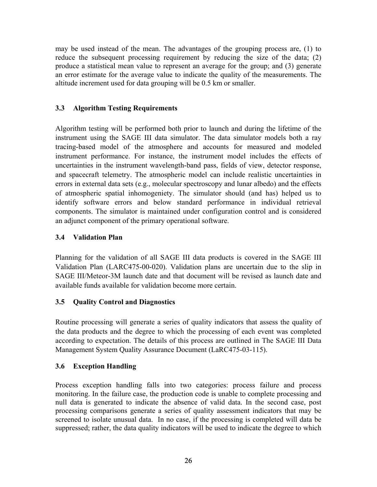<span id="page-28-0"></span>may be used instead of the mean. The advantages of the grouping process are, (1) to reduce the subsequent processing requirement by reducing the size of the data; (2) produce a statistical mean value to represent an average for the group; and (3) generate an error estimate for the average value to indicate the quality of the measurements. The altitude increment used for data grouping will be 0.5 km or smaller.

## **3.3 Algorithm Testing Requirements**

Algorithm testing will be performed both prior to launch and during the lifetime of the instrument using the SAGE III data simulator. The data simulator models both a ray tracing-based model of the atmosphere and accounts for measured and modeled instrument performance. For instance, the instrument model includes the effects of uncertainties in the instrument wavelength-band pass, fields of view, detector response, and spacecraft telemetry. The atmospheric model can include realistic uncertainties in errors in external data sets (e.g., molecular spectroscopy and lunar albedo) and the effects of atmospheric spatial inhomogeniety. The simulator should (and has) helped us to identify software errors and below standard performance in individual retrieval components. The simulator is maintained under configuration control and is considered an adjunct component of the primary operational software.

## **3.4 Validation Plan**

Planning for the validation of all SAGE III data products is covered in the SAGE III Validation Plan (LARC475-00-020). Validation plans are uncertain due to the slip in SAGE III/Meteor-3M launch date and that document will be revised as launch date and available funds available for validation become more certain.

# **3.5 Quality Control and Diagnostics**

Routine processing will generate a series of quality indicators that assess the quality of the data products and the degree to which the processing of each event was completed according to expectation. The details of this process are outlined in The SAGE III Data Management System Quality Assurance Document (LaRC475-03-115).

### **3.6 Exception Handling**

Process exception handling falls into two categories: process failure and process monitoring. In the failure case, the production code is unable to complete processing and null data is generated to indicate the absence of valid data. In the second case, post processing comparisons generate a series of quality assessment indicators that may be screened to isolate unusual data. In no case, if the processing is completed will data be suppressed; rather, the data quality indicators will be used to indicate the degree to which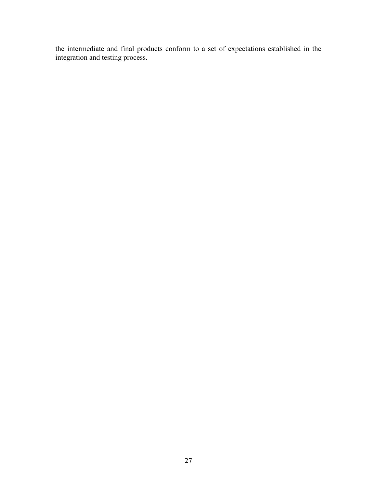the intermediate and final products conform to a set of expectations established in the integration and testing process.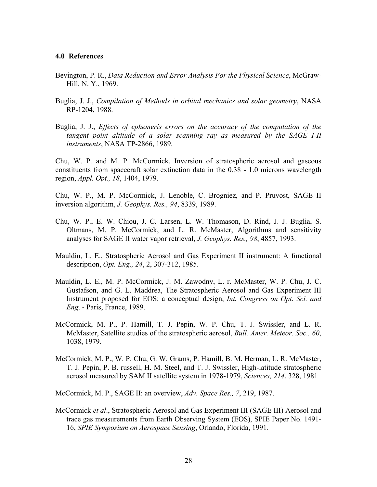#### <span id="page-30-0"></span>**4.0 References**

- Bevington, P. R., *Data Reduction and Error Analysis For the Physical Science*, McGraw-Hill, N. Y., 1969.
- Buglia, J. J., *Compilation of Methods in orbital mechanics and solar geometry*, NASA RP-1204, 1988.
- Buglia, J. J., *Effects of ephemeris errors on the accuracy of the computation of the tangent point altitude of a solar scanning ray as measured by the SAGE I-II instruments*, NASA TP-2866, 1989.

Chu, W. P. and M. P. McCormick, Inversion of stratospheric aerosol and gaseous constituents from spacecraft solar extinction data in the 0.38 - 1.0 microns wavelength region, *Appl. Opt., 18*, 1404, 1979.

Chu, W. P., M. P. McCormick, J. Lenoble, C. Brogniez, and P. Pruvost, SAGE II inversion algorithm, *J. Geophys. Res., 94*, 8339, 1989.

- Chu, W. P., E. W. Chiou, J. C. Larsen, L. W. Thomason, D. Rind, J. J. Buglia, S. Oltmans, M. P. McCormick, and L. R. McMaster, Algorithms and sensitivity analyses for SAGE II water vapor retrieval, *J. Geophys. Res., 98*, 4857, 1993.
- Mauldin, L. E., Stratospheric Aerosol and Gas Experiment II instrument: A functional description, *Opt. Eng., 24*, 2, 307-312, 1985.
- Mauldin, L. E., M. P. McCormick, J. M. Zawodny, L. r. McMaster, W. P. Chu, J. C. Gustafson, and G. L. Maddrea, The Stratospheric Aerosol and Gas Experiment III Instrument proposed for EOS: a conceptual design, *Int. Congress on Opt. Sci. and Eng*. - Paris, France, 1989.
- McCormick, M. P., P. Hamill, T. J. Pepin, W. P. Chu, T. J. Swissler, and L. R. McMaster, Satellite studies of the stratospheric aerosol, *Bull. Amer. Meteor. Soc., 60*, 1038, 1979.
- McCormick, M. P., W. P. Chu, G. W. Grams, P. Hamill, B. M. Herman, L. R. McMaster, T. J. Pepin, P. B. russell, H. M. Steel, and T. J. Swissler, High-latitude stratospheric aerosol measured by SAM II satellite system in 1978-1979, *Sciences, 214*, 328, 1981

McCormick, M. P., SAGE II: an overview, *Adv. Space Res., 7*, 219, 1987.

McCormick *et al*., Stratospheric Aerosol and Gas Experiment III (SAGE III) Aerosol and trace gas measurements from Earth Observing System (EOS), SPIE Paper No. 1491- 16, *SPIE Symposium on Aerospace Sensing*, Orlando, Florida, 1991.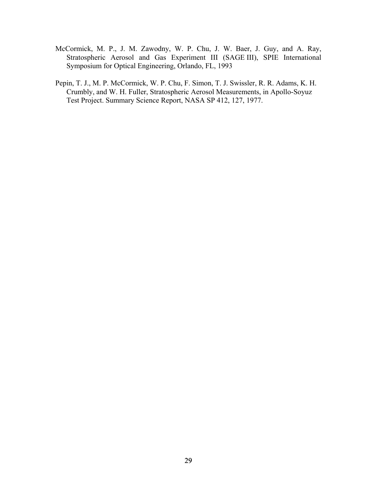- McCormick, M. P., J. M. Zawodny, W. P. Chu, J. W. Baer, J. Guy, and A. Ray, Stratospheric Aerosol and Gas Experiment III (SAGE III), SPIE International Symposium for Optical Engineering, Orlando, FL, 1993
- Pepin, T. J., M. P. McCormick, W. P. Chu, F. Simon, T. J. Swissler, R. R. Adams, K. H. Crumbly, and W. H. Fuller, Stratospheric Aerosol Measurements, in Apollo-Soyuz Test Project. Summary Science Report, NASA SP 412, 127, 1977.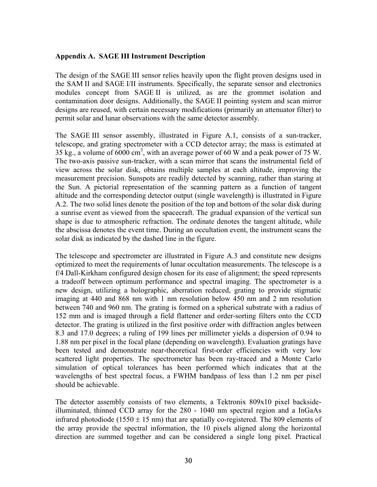#### <span id="page-32-0"></span>**Appendix A. SAGE III Instrument Description**

The design of the SAGE III sensor relies heavily upon the flight proven designs used in the SAM II and SAGE I/II instruments. Specifically, the separate sensor and electronics modules concept from SAGE II is utilized, as are the grommet isolation and contamination door designs. Additionally, the SAGE II pointing system and scan mirror designs are reused, with certain necessary modifications (primarily an attenuator filter) to permit solar and lunar observations with the same detector assembly.

The SAGE III sensor assembly, illustrated in Figure A.1, consists of a sun-tracker, telescope, and grating spectrometer with a CCD detector array; the mass is estimated at 35 kg., a volume of  $6000 \text{ cm}^3$ , with an average power of 60 W and a peak power of 75 W. The two-axis passive sun-tracker, with a scan mirror that scans the instrumental field of view across the solar disk, obtains multiple samples at each altitude, improving the measurement precision. Sunspots are readily detected by scanning, rather than staring at the Sun. A pictorial representation of the scanning pattern as a function of tangent altitude and the corresponding detector output (single wavelength) is illustrated in Figure A.2. The two solid lines denote the position of the top and bottom of the solar disk during a sunrise event as viewed from the spacecraft. The gradual expansion of the vertical sun shape is due to atmospheric refraction. The ordinate denotes the tangent altitude, while the abscissa denotes the event time. During an occultation event, the instrument scans the solar disk as indicated by the dashed line in the figure.

The telescope and spectrometer are illustrated in Figure A.3 and constitute new designs optimized to meet the requirements of lunar occultation measurements. The telescope is a f/4 Dall-Kirkham configured design chosen for its ease of alignment; the speed represents a tradeoff between optimum performance and spectral imaging. The spectrometer is a new design, utilizing a holographic, aberration reduced, grating to provide stigmatic imaging at 440 and 868 nm with 1 nm resolution below 450 nm and 2 nm resolution between 740 and 960 nm. The grating is formed on a spherical substrate with a radius of 152 mm and is imaged through a field flattener and order-sorting filters onto the CCD detector. The grating is utilized in the first positive order with diffraction angles between 8.3 and 17.0 degrees; a ruling of 199 lines per millimeter yields a dispersion of 0.94 to 1.88 nm per pixel in the focal plane (depending on wavelength). Evaluation gratings have been tested and demonstrate near-theoretical first-order efficiencies with very low scattered light properties. The spectrometer has been ray-traced and a Monte Carlo simulation of optical tolerances has been performed which indicates that at the wavelengths of best spectral focus, a FWHM bandpass of less than 1.2 nm per pixel should be achievable.

The detector assembly consists of two elements, a Tektronix 809x10 pixel backsideilluminated, thinned CCD array for the 280 - 1040 nm spectral region and a InGaAs infrared photodiode (1550  $\pm$  15 nm) that are spatially co-registered. The 809 elements of the array provide the spectral information, the 10 pixels aligned along the horizontal direction are summed together and can be considered a single long pixel. Practical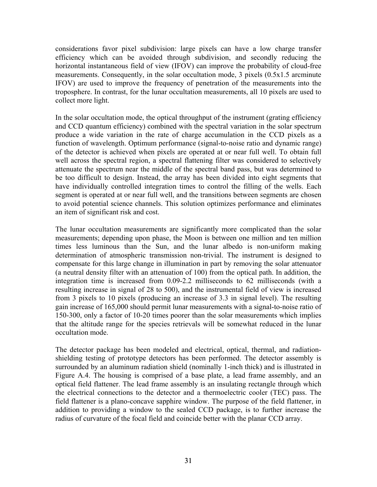considerations favor pixel subdivision: large pixels can have a low charge transfer efficiency which can be avoided through subdivision, and secondly reducing the horizontal instantaneous field of view (IFOV) can improve the probability of cloud-free measurements. Consequently, in the solar occultation mode, 3 pixels (0.5x1.5 arcminute IFOV) are used to improve the frequency of penetration of the measurements into the troposphere. In contrast, for the lunar occultation measurements, all 10 pixels are used to collect more light.

In the solar occultation mode, the optical throughput of the instrument (grating efficiency and CCD quantum efficiency) combined with the spectral variation in the solar spectrum produce a wide variation in the rate of charge accumulation in the CCD pixels as a function of wavelength. Optimum performance (signal-to-noise ratio and dynamic range) of the detector is achieved when pixels are operated at or near full well. To obtain full well across the spectral region, a spectral flattening filter was considered to selectively attenuate the spectrum near the middle of the spectral band pass, but was determined to be too difficult to design. Instead, the array has been divided into eight segments that have individually controlled integration times to control the filling of the wells. Each segment is operated at or near full well, and the transitions between segments are chosen to avoid potential science channels. This solution optimizes performance and eliminates an item of significant risk and cost.

The lunar occultation measurements are significantly more complicated than the solar measurements; depending upon phase, the Moon is between one million and ten million times less luminous than the Sun, and the lunar albedo is non-uniform making determination of atmospheric transmission non-trivial. The instrument is designed to compensate for this large change in illumination in part by removing the solar attenuator (a neutral density filter with an attenuation of 100) from the optical path. In addition, the integration time is increased from 0.09-2.2 milliseconds to 62 milliseconds (with a resulting increase in signal of 28 to 500), and the instrumental field of view is increased from 3 pixels to 10 pixels (producing an increase of 3.3 in signal level). The resulting gain increase of 165,000 should permit lunar measurements with a signal-to-noise ratio of 150-300, only a factor of 10-20 times poorer than the solar measurements which implies that the altitude range for the species retrievals will be somewhat reduced in the lunar occultation mode.

The detector package has been modeled and electrical, optical, thermal, and radiationshielding testing of prototype detectors has been performed. The detector assembly is surrounded by an aluminum radiation shield (nominally 1-inch thick) and is illustrated in Figure A.4. The housing is comprised of a base plate, a lead frame assembly, and an optical field flattener. The lead frame assembly is an insulating rectangle through which the electrical connections to the detector and a thermoelectric cooler (TEC) pass. The field flattener is a plano-concave sapphire window. The purpose of the field flattener, in addition to providing a window to the sealed CCD package, is to further increase the radius of curvature of the focal field and coincide better with the planar CCD array.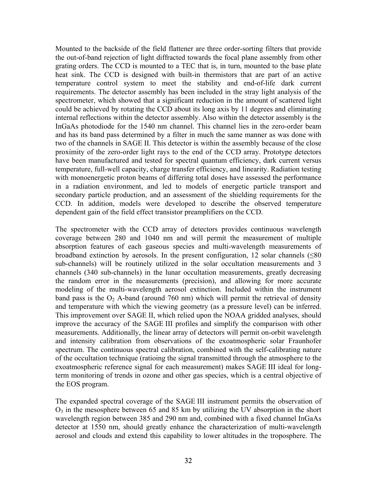Mounted to the backside of the field flattener are three order-sorting filters that provide the out-of-band rejection of light diffracted towards the focal plane assembly from other grating orders. The CCD is mounted to a TEC that is, in turn, mounted to the base plate heat sink. The CCD is designed with built-in thermistors that are part of an active temperature control system to meet the stability and end-of-life dark current requirements. The detector assembly has been included in the stray light analysis of the spectrometer, which showed that a significant reduction in the amount of scattered light could be achieved by rotating the CCD about its long axis by 11 degrees and eliminating internal reflections within the detector assembly. Also within the detector assembly is the InGaAs photodiode for the 1540 nm channel. This channel lies in the zero-order beam and has its band pass determined by a filter in much the same manner as was done with two of the channels in SAGE II. This detector is within the assembly because of the close proximity of the zero-order light rays to the end of the CCD array. Prototype detectors have been manufactured and tested for spectral quantum efficiency, dark current versus temperature, full-well capacity, charge transfer efficiency, and linearity. Radiation testing with monoenergetic proton beams of differing total doses have assessed the performance in a radiation environment, and led to models of energetic particle transport and secondary particle production, and an assessment of the shielding requirements for the CCD. In addition, models were developed to describe the observed temperature dependent gain of the field effect transistor preamplifiers on the CCD.

The spectrometer with the CCD array of detectors provides continuous wavelength coverage between 280 and 1040 nm and will permit the measurement of multiple absorption features of each gaseous species and multi-wavelength measurements of broadband extinction by aerosols. In the present configuration, 12 solar channels (≤80 sub-channels) will be routinely utilized in the solar occultation measurements and 3 channels (340 sub-channels) in the lunar occultation measurements, greatly decreasing the random error in the measurements (precision), and allowing for more accurate modeling of the multi-wavelength aerosol extinction. Included within the instrument band pass is the  $O_2$  A-band (around 760 nm) which will permit the retrieval of density and temperature with which the viewing geometry (as a pressure level) can be inferred. This improvement over SAGE II, which relied upon the NOAA gridded analyses, should improve the accuracy of the SAGE III profiles and simplify the comparison with other measurements. Additionally, the linear array of detectors will permit on-orbit wavelength and intensity calibration from observations of the exoatmospheric solar Fraunhofer spectrum. The continuous spectral calibration, combined with the self-calibrating nature of the occultation technique (ratioing the signal transmitted through the atmosphere to the exoatmospheric reference signal for each measurement) makes SAGE III ideal for longterm monitoring of trends in ozone and other gas species, which is a central objective of the EOS program.

The expanded spectral coverage of the SAGE III instrument permits the observation of  $O<sub>3</sub>$  in the mesosphere between 65 and 85 km by utilizing the UV absorption in the short wavelength region between 385 and 290 nm and, combined with a fixed channel InGaAs detector at 1550 nm, should greatly enhance the characterization of multi-wavelength aerosol and clouds and extend this capability to lower altitudes in the troposphere. The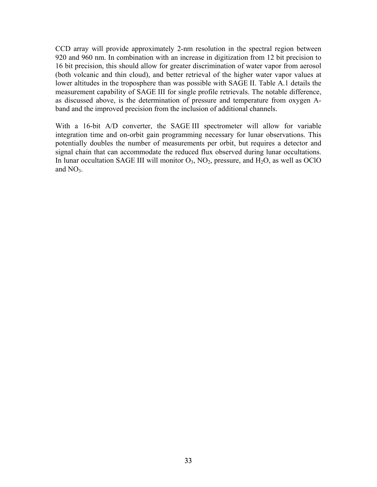CCD array will provide approximately 2-nm resolution in the spectral region between 920 and 960 nm. In combination with an increase in digitization from 12 bit precision to 16 bit precision, this should allow for greater discrimination of water vapor from aerosol (both volcanic and thin cloud), and better retrieval of the higher water vapor values at lower altitudes in the troposphere than was possible with SAGE II. Table A.1 details the measurement capability of SAGE III for single profile retrievals. The notable difference, as discussed above, is the determination of pressure and temperature from oxygen Aband and the improved precision from the inclusion of additional channels.

With a 16-bit A/D converter, the SAGE III spectrometer will allow for variable integration time and on-orbit gain programming necessary for lunar observations. This potentially doubles the number of measurements per orbit, but requires a detector and signal chain that can accommodate the reduced flux observed during lunar occultations. In lunar occultation SAGE III will monitor  $O_3$ ,  $NO_2$ , pressure, and  $H_2O$ , as well as OClO and  $NO<sub>3</sub>$ .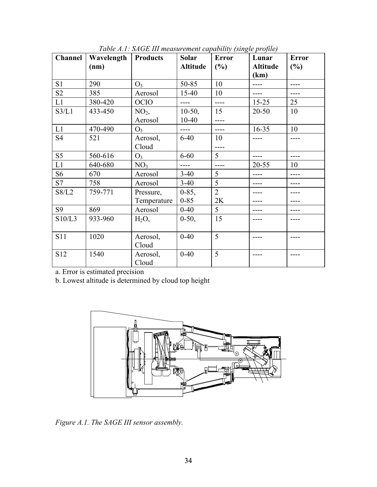| <b>Channel</b> | Wavelength<br>(nm) | <b>Products</b> | Solar<br><b>Altitude</b> | <b>Error</b><br>(%) | Lunar<br><b>Altitude</b> | <b>Error</b><br>(%) |
|----------------|--------------------|-----------------|--------------------------|---------------------|--------------------------|---------------------|
|                |                    |                 |                          |                     | (km)                     |                     |
| S1             | 290                | O <sub>3</sub>  | 50-85                    | 10                  |                          |                     |
| S <sub>2</sub> | 385                | Aerosol         | $15 - 40$                | 10                  |                          |                     |
| L1             | 380-420            | <b>OCIO</b>     | ----                     | $---$               | $15 - 25$                | 25                  |
| S3/L1          | 433-450            | NO <sub>2</sub> | $10-50$ ,                | 15                  | $20 - 50$                | 10                  |
|                |                    | Aerosol         | $10 - 40$                | ----                |                          |                     |
| L1             | 470-490            | $O_3$           | ----                     | ----                | $16 - 35$                | 10                  |
| <b>S4</b>      | 521                | Aerosol,        | $6 - 40$                 | 10                  |                          |                     |
|                |                    | Cloud           |                          |                     |                          |                     |
| S <sub>5</sub> | 560-616            | $O_3$           | $6 - 60$                 | 5                   | ----                     |                     |
| L1             | 640-680            | NO <sub>3</sub> | $---$                    | $---$               | $20 - 55$                | 10                  |
| S <sub>6</sub> | 670                | Aerosol         | $3-40$                   | 5                   |                          |                     |
| S7             | 758                | Aerosol         | $3-40$                   | 5                   |                          |                     |
| S8/L2          | 759-771            | Pressure,       | $0 - 85$ ,               | $\overline{2}$      |                          |                     |
|                |                    | Temperature     | $0 - 85$                 | 2K                  |                          |                     |
| <b>S9</b>      | 869                | Aerosol         | $0 - 40$                 | 5                   |                          |                     |
| S10/L3         | 933-960            | $H_2O$ ,        | $0-50$ ,                 | 15                  |                          |                     |
|                |                    |                 |                          |                     |                          |                     |
| <b>S11</b>     | 1020               | Aerosol,        | $0 - 40$                 | 5                   |                          |                     |
|                |                    | Cloud           |                          |                     |                          |                     |
| S12            | 1540               | Aerosol,        | $0 - 40$                 | 5                   |                          |                     |
|                |                    | Cloud           |                          |                     |                          |                     |

*Table A.1: SAGE III measurement capability (single profile)*

a. Error is estimated precision

b. Lowest altitude is determined by cloud top height



*Figure A.1. The SAGE III sensor assembly.*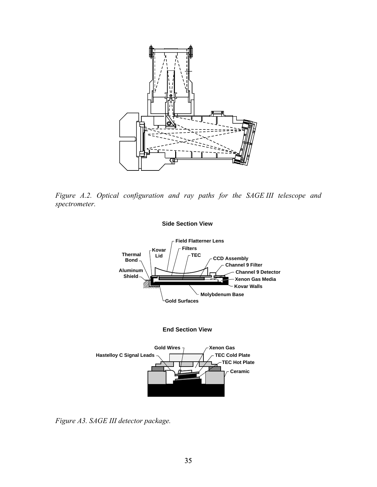

*Figure A.2. Optical configuration and ray paths for the SAGE III telescope and spectrometer.* 



*Figure A3. SAGE III detector package.*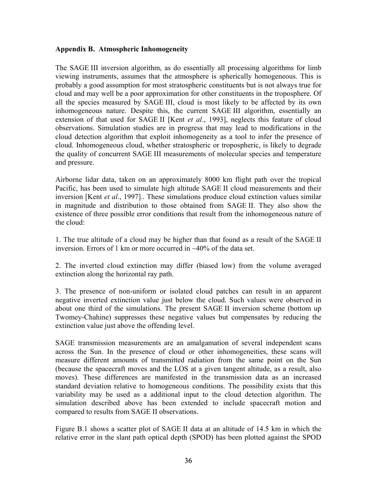### <span id="page-38-0"></span>**Appendix B. Atmospheric Inhomogeneity**

The SAGE III inversion algorithm, as do essentially all processing algorithms for limb viewing instruments, assumes that the atmosphere is spherically homogeneous. This is probably a good assumption for most stratospheric constituents but is not always true for cloud and may well be a poor approximation for other constituents in the troposphere. Of all the species measured by SAGE III, cloud is most likely to be affected by its own inhomogeneous nature. Despite this, the current SAGE III algorithm, essentially an extension of that used for SAGE II [Kent *et al*., 1993], neglects this feature of cloud observations. Simulation studies are in progress that may lead to modifications in the cloud detection algorithm that exploit inhomogeneity as a tool to infer the presence of cloud. Inhomogeneous cloud, whether stratospheric or tropospheric, is likely to degrade the quality of concurrent SAGE III measurements of molecular species and temperature and pressure.

Airborne lidar data, taken on an approximately 8000 km flight path over the tropical Pacific, has been used to simulate high altitude SAGE II cloud measurements and their inversion [Kent *et al*., 1997].. These simulations produce cloud extinction values similar in magnitude and distribution to those obtained from SAGE II. They also show the existence of three possible error conditions that result from the inhomogeneous nature of the cloud:

1. The true altitude of a cloud may be higher than that found as a result of the SAGE II inversion. Errors of 1 km or more occurred in ~40% of the data set.

2. The inverted cloud extinction may differ (biased low) from the volume averaged extinction along the horizontal ray path.

3. The presence of non-uniform or isolated cloud patches can result in an apparent negative inverted extinction value just below the cloud. Such values were observed in about one third of the simulations. The present SAGE II inversion scheme (bottom up Twomey-Chahine) suppresses these negative values but compensates by reducing the extinction value just above the offending level.

SAGE transmission measurements are an amalgamation of several independent scans across the Sun. In the presence of cloud or other inhomogeneities, these scans will measure different amounts of transmitted radiation from the same point on the Sun (because the spacecraft moves and the LOS at a given tangent altitude, as a result, also moves). These differences are manifested in the transmission data as an increased standard deviation relative to homogeneous conditions. The possibility exists that this variability may be used as a additional input to the cloud detection algorithm. The simulation described above has been extended to include spacecraft motion and compared to results from SAGE II observations.

Figure B.1 shows a scatter plot of SAGE II data at an altitude of 14.5 km in which the relative error in the slant path optical depth (SPOD) has been plotted against the SPOD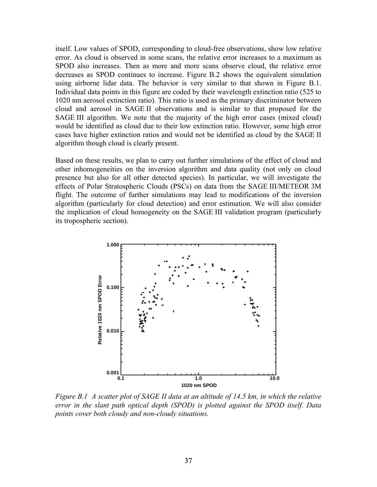itself. Low values of SPOD, corresponding to cloud-free observations, show low relative error. As cloud is observed in some scans, the relative error increases to a maximum as SPOD also increases. Then as more and more scans observe cloud, the relative error decreases as SPOD continues to increase. Figure B.2 shows the equivalent simulation using airborne lidar data. The behavior is very similar to that shown in Figure B.1. Individual data points in this figure are coded by their wavelength extinction ratio (525 to 1020 nm aerosol extinction ratio). This ratio is used as the primary discriminator between cloud and aerosol in SAGE II observations and is similar to that proposed for the SAGE III algorithm. We note that the majority of the high error cases (mixed cloud) would be identified as cloud due to their low extinction ratio. However, some high error cases have higher extinction ratios and would not be identified as cloud by the SAGE II algorithm though cloud is clearly present.

Based on these results, we plan to carry out further simulations of the effect of cloud and other inhomogeneities on the inversion algorithm and data quality (not only on cloud presence but also for all other detected species). In particular, we will investigate the effects of Polar Stratospheric Clouds (PSCs) on data from the SAGE III/METEOR 3M flight. The outcome of further simulations may lead to modifications of the inversion algorithm (particularly for cloud detection) and error estimation. We will also consider the implication of cloud homogeneity on the SAGE III validation program (particularly its tropospheric section).



*Figure B.1 A scatter plot of SAGE II data at an altitude of 14.5 km, in which the relative error in the slant path optical depth (SPOD) is plotted against the SPOD itself. Data points cover both cloudy and non-cloudy situations.*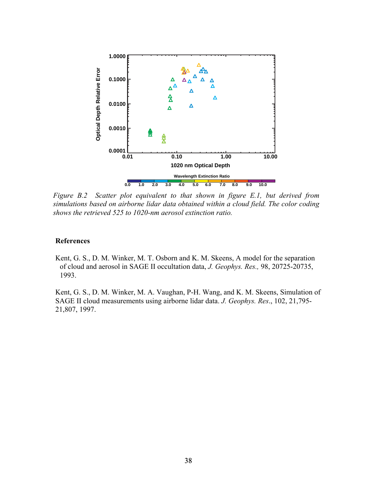

*Figure B.2 Scatter plot equivalent to that shown in figure E.1, but derived from simulations based on airborne lidar data obtained within a cloud field. The color coding shows the retrieved 525 to 1020-nm aerosol extinction ratio.* 

#### **References**

Kent, G. S., D. M. Winker, M. T. Osborn and K. M. Skeens, A model for the separation of cloud and aerosol in SAGE II occultation data, *J. Geophys. Res.,* 98, 20725-20735, 1993.

Kent, G. S., D. M. Winker, M. A. Vaughan, P-H. Wang, and K. M. Skeens, Simulation of SAGE II cloud measurements using airborne lidar data. *J. Geophys. Res*., 102, 21,795- 21,807, 1997.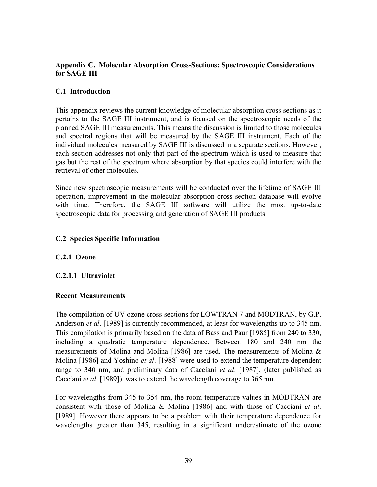### <span id="page-41-0"></span>**Appendix C. Molecular Absorption Cross-Sections: Spectroscopic Considerations for SAGE III**

### **C.1 Introduction**

This appendix reviews the current knowledge of molecular absorption cross sections as it pertains to the SAGE III instrument, and is focused on the spectroscopic needs of the planned SAGE III measurements. This means the discussion is limited to those molecules and spectral regions that will be measured by the SAGE III instrument. Each of the individual molecules measured by SAGE III is discussed in a separate sections. However, each section addresses not only that part of the spectrum which is used to measure that gas but the rest of the spectrum where absorption by that species could interfere with the retrieval of other molecules.

Since new spectroscopic measurements will be conducted over the lifetime of SAGE III operation, improvement in the molecular absorption cross-section database will evolve with time. Therefore, the SAGE III software will utilize the most up-to-date spectroscopic data for processing and generation of SAGE III products.

### **C.2 Species Specific Information**

### **C.2.1 Ozone**

# **C.2.1.1 Ultraviolet**

### **Recent Measurements**

The compilation of UV ozone cross-sections for LOWTRAN 7 and MODTRAN, by G.P. Anderson *et al*. [1989] is currently recommended, at least for wavelengths up to 345 nm. This compilation is primarily based on the data of Bass and Paur [1985] from 240 to 330, including a quadratic temperature dependence. Between 180 and 240 nm the measurements of Molina and Molina [1986] are used. The measurements of Molina & Molina [1986] and Yoshino *et al*. [1988] were used to extend the temperature dependent range to 340 nm, and preliminary data of Cacciani *et al*. [1987], (later published as Cacciani *et al*. [1989]), was to extend the wavelength coverage to 365 nm.

For wavelengths from 345 to 354 nm, the room temperature values in MODTRAN are consistent with those of Molina & Molina [1986] and with those of Cacciani *et al*. [1989]. However there appears to be a problem with their temperature dependence for wavelengths greater than 345, resulting in a significant underestimate of the ozone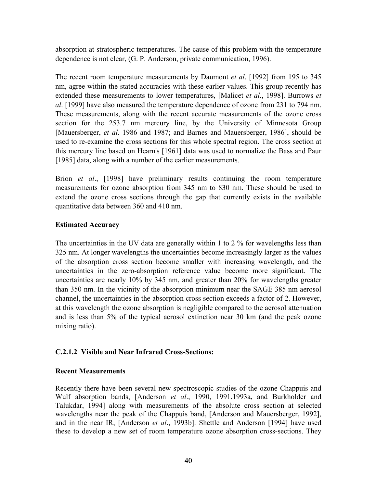absorption at stratospheric temperatures. The cause of this problem with the temperature dependence is not clear, (G. P. Anderson, private communication, 1996).

The recent room temperature measurements by Daumont *et al*. [1992] from 195 to 345 nm, agree within the stated accuracies with these earlier values. This group recently has extended these measurements to lower temperatures, [Malicet *et al*., 1998]. Burrows *et al*. [1999] have also measured the temperature dependence of ozone from 231 to 794 nm. These measurements, along with the recent accurate measurements of the ozone cross section for the 253.7 nm mercury line, by the University of Minnesota Group [Mauersberger, *et al*. 1986 and 1987; and Barnes and Mauersberger, 1986], should be used to re-examine the cross sections for this whole spectral region. The cross section at this mercury line based on Hearn's [1961] data was used to normalize the Bass and Paur [1985] data, along with a number of the earlier measurements.

Brion *et al*., [1998] have preliminary results continuing the room temperature measurements for ozone absorption from 345 nm to 830 nm. These should be used to extend the ozone cross sections through the gap that currently exists in the available quantitative data between 360 and 410 nm.

### **Estimated Accuracy**

The uncertainties in the UV data are generally within 1 to 2 % for wavelengths less than 325 nm. At longer wavelengths the uncertainties become increasingly larger as the values of the absorption cross section become smaller with increasing wavelength, and the uncertainties in the zero-absorption reference value become more significant. The uncertainties are nearly 10% by 345 nm, and greater than 20% for wavelengths greater than 350 nm. In the vicinity of the absorption minimum near the SAGE 385 nm aerosol channel, the uncertainties in the absorption cross section exceeds a factor of 2. However, at this wavelength the ozone absorption is negligible compared to the aerosol attenuation and is less than 5% of the typical aerosol extinction near 30 km (and the peak ozone mixing ratio).

### **C.2.1.2 Visible and Near Infrared Cross-Sections:**

### **Recent Measurements**

Recently there have been several new spectroscopic studies of the ozone Chappuis and Wulf absorption bands, [Anderson *et al*., 1990, 1991,1993a, and Burkholder and Talukdar, 1994] along with measurements of the absolute cross section at selected wavelengths near the peak of the Chappuis band, [Anderson and Mauersberger, 1992], and in the near IR, [Anderson *et al*., 1993b]. Shettle and Anderson [1994] have used these to develop a new set of room temperature ozone absorption cross-sections. They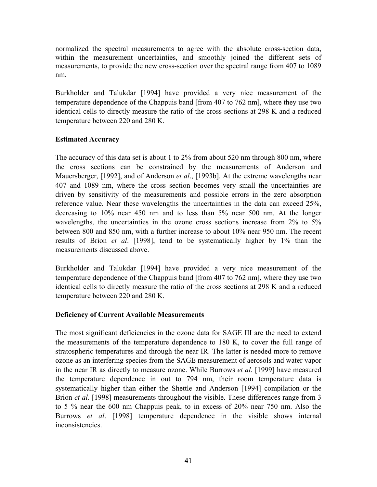normalized the spectral measurements to agree with the absolute cross-section data, within the measurement uncertainties, and smoothly joined the different sets of measurements, to provide the new cross-section over the spectral range from 407 to 1089 nm.

Burkholder and Talukdar [1994] have provided a very nice measurement of the temperature dependence of the Chappuis band [from 407 to 762 nm], where they use two identical cells to directly measure the ratio of the cross sections at 298 K and a reduced temperature between 220 and 280 K.

# **Estimated Accuracy**

The accuracy of this data set is about 1 to 2% from about 520 nm through 800 nm, where the cross sections can be constrained by the measurements of Anderson and Mauersberger, [1992], and of Anderson *et al*., [1993b]. At the extreme wavelengths near 407 and 1089 nm, where the cross section becomes very small the uncertainties are driven by sensitivity of the measurements and possible errors in the zero absorption reference value. Near these wavelengths the uncertainties in the data can exceed 25%, decreasing to 10% near 450 nm and to less than 5% near 500 nm. At the longer wavelengths, the uncertainties in the ozone cross sections increase from 2% to 5% between 800 and 850 nm, with a further increase to about 10% near 950 nm. The recent results of Brion *et al*. [1998], tend to be systematically higher by 1% than the measurements discussed above.

Burkholder and Talukdar [1994] have provided a very nice measurement of the temperature dependence of the Chappuis band [from 407 to 762 nm], where they use two identical cells to directly measure the ratio of the cross sections at 298 K and a reduced temperature between 220 and 280 K.

# **Deficiency of Current Available Measurements**

The most significant deficiencies in the ozone data for SAGE III are the need to extend the measurements of the temperature dependence to 180 K, to cover the full range of stratospheric temperatures and through the near IR. The latter is needed more to remove ozone as an interfering species from the SAGE measurement of aerosols and water vapor in the near IR as directly to measure ozone. While Burrows *et al*. [1999] have measured the temperature dependence in out to 794 nm, their room temperature data is systematically higher than either the Shettle and Anderson [1994] compilation or the Brion *et al*. [1998] measurements throughout the visible. These differences range from 3 to 5 % near the 600 nm Chappuis peak, to in excess of 20% near 750 nm. Also the Burrows *et al*. [1998] temperature dependence in the visible shows internal inconsistencies.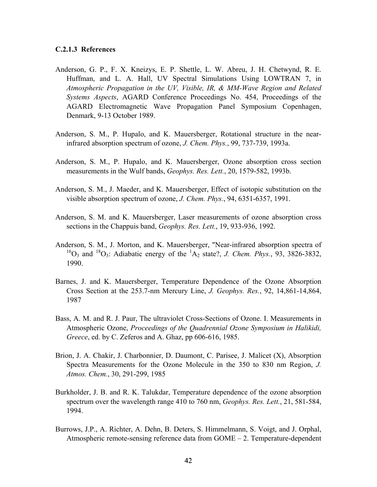#### **C.2.1.3 References**

- Anderson, G. P., F. X. Kneizys, E. P. Shettle, L. W. Abreu, J. H. Chetwynd, R. E. Huffman, and L. A. Hall, UV Spectral Simulations Using LOWTRAN 7, in *Atmospheric Propagation in the UV, Visible, IR, & MM-Wave Region and Related Systems Aspects*, AGARD Conference Proceedings No. 454, Proceedings of the AGARD Electromagnetic Wave Propagation Panel Symposium Copenhagen, Denmark, 9-13 October 1989.
- Anderson, S. M., P. Hupalo, and K. Mauersberger, Rotational structure in the nearinfrared absorption spectrum of ozone, *J. Chem. Phys.*, 99, 737-739, 1993a.
- Anderson, S. M., P. Hupalo, and K. Mauersberger, Ozone absorption cross section measurements in the Wulf bands, *Geophys. Res. Lett.*, 20, 1579-582, 1993b.
- Anderson, S. M., J. Maeder, and K. Mauersberger, Effect of isotopic substitution on the visible absorption spectrum of ozone, *J. Chem. Phys.*, 94, 6351-6357, 1991.
- Anderson, S. M. and K. Mauersberger, Laser measurements of ozone absorption cross sections in the Chappuis band, *Geophys. Res. Lett.*, 19, 933-936, 1992.
- Anderson, S. M., J. Morton, and K. Mauersberger, "Near-infrared absorption spectra of  ${}^{16}O_3$  and  ${}^{18}O_3$ : Adiabatic energy of the  ${}^{1}A_2$  state?, *J. Chem. Phys.*, 93, 3826-3832, 1990.
- Barnes, J. and K. Mauersberger, Temperature Dependence of the Ozone Absorption Cross Section at the 253.7-nm Mercury Line, *J. Geophys. Res.*, 92, 14,861-14,864, 1987
- Bass, A. M. and R. J. Paur, The ultraviolet Cross-Sections of Ozone. I. Measurements in Atmospheric Ozone, *Proceedings of the Quadrennial Ozone Symposium in Halikidi, Greece*, ed. by C. Zeferos and A. Ghaz, pp 606-616, 1985.
- Brion, J. A. Chakir, J. Charbonnier, D. Daumont, C. Parisee, J. Malicet (X), Absorption Spectra Measurements for the Ozone Molecule in the 350 to 830 nm Region, *J. Atmos. Chem.*, 30, 291-299, 1985
- Burkholder, J. B. and R. K. Talukdar, Temperature dependence of the ozone absorption spectrum over the wavelength range 410 to 760 nm, *Geophys. Res. Lett.*, 21, 581-584, 1994.
- Burrows, J.P., A. Richter, A. Dehn, B. Deters, S. Himmelmann, S. Voigt, and J. Orphal, Atmospheric remote-sensing reference data from GOME – 2. Temperature-dependent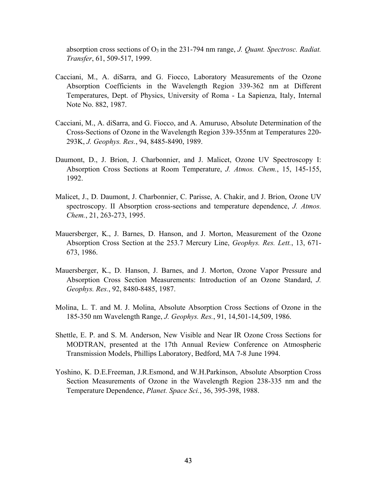absorption cross sections of O<sub>3</sub> in the 231-794 nm range, *J. Quant. Spectrosc. Radiat. Transfer*, 61, 509-517, 1999.

- Cacciani, M., A. diSarra, and G. Fiocco, Laboratory Measurements of the Ozone Absorption Coefficients in the Wavelength Region 339-362 nm at Different Temperatures, Dept. of Physics, University of Roma - La Sapienza, Italy, Internal Note No. 882, 1987.
- Cacciani, M., A. diSarra, and G. Fiocco, and A. Amuruso, Absolute Determination of the Cross-Sections of Ozone in the Wavelength Region 339-355nm at Temperatures 220- 293K, *J. Geophys. Res.*, 94, 8485-8490, 1989.
- Daumont, D., J. Brion, J. Charbonnier, and J. Malicet, Ozone UV Spectroscopy I: Absorption Cross Sections at Room Temperature, *J. Atmos. Chem.*, 15, 145-155, 1992.
- Malicet, J., D. Daumont, J. Charbonnier, C. Parisse, A. Chakir, and J. Brion, Ozone UV spectroscopy. II Absorption cross-sections and temperature dependence, *J. Atmos. Chem.*, 21, 263-273, 1995.
- Mauersberger, K., J. Barnes, D. Hanson, and J. Morton, Measurement of the Ozone Absorption Cross Section at the 253.7 Mercury Line, *Geophys. Res. Lett.*, 13, 671- 673, 1986.
- Mauersberger, K., D. Hanson, J. Barnes, and J. Morton, Ozone Vapor Pressure and Absorption Cross Section Measurements: Introduction of an Ozone Standard, *J. Geophys. Res.*, 92, 8480-8485, 1987.
- Molina, L. T. and M. J. Molina, Absolute Absorption Cross Sections of Ozone in the 185-350 nm Wavelength Range, *J. Geophys. Res.*, 91, 14,501-14,509, 1986.
- Shettle, E. P. and S. M. Anderson, New Visible and Near IR Ozone Cross Sections for MODTRAN, presented at the 17th Annual Review Conference on Atmospheric Transmission Models, Phillips Laboratory, Bedford, MA 7-8 June 1994.
- Yoshino, K. D.E.Freeman, J.R.Esmond, and W.H.Parkinson, Absolute Absorption Cross Section Measurements of Ozone in the Wavelength Region 238-335 nm and the Temperature Dependence, *Planet. Space Sci.*, 36, 395-398, 1988.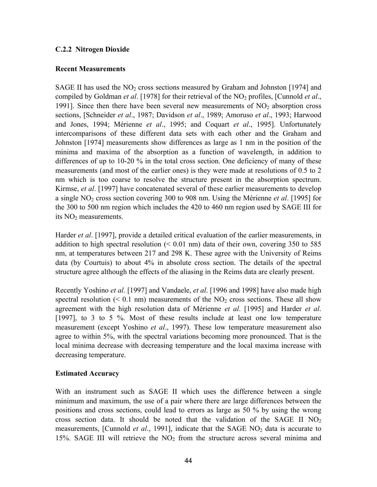### <span id="page-46-0"></span>**C.2.2 Nitrogen Dioxide**

#### **Recent Measurements**

SAGE II has used the  $NO<sub>2</sub>$  cross sections measured by Graham and Johnston [1974] and compiled by Goldman *et al*. [1978] for their retrieval of the NO2 profiles, [Cunnold *et al*., 1991]. Since then there have been several new measurements of  $NO<sub>2</sub>$  absorption cross sections, [Schneider *et al*., 1987; Davidson *et al*., 1989; Amoruso *et al*., 1993; Harwood and Jones, 1994; Mérienne *et al*., 1995; and Coquart *et al*., 1995]. Unfortunately intercomparisons of these different data sets with each other and the Graham and Johnston [1974] measurements show differences as large as 1 nm in the position of the minima and maxima of the absorption as a function of wavelength, in addition to differences of up to 10-20 % in the total cross section. One deficiency of many of these measurements (and most of the earlier ones) is they were made at resolutions of 0.5 to 2 nm which is too coarse to resolve the structure present in the absorption spectrum. Kirmse, *et al*. [1997] have concatenated several of these earlier measurements to develop a single NO2 cross section covering 300 to 908 nm. Using the Mérienne *et al*. [1995] for the 300 to 500 nm region which includes the 420 to 460 nm region used by SAGE III for its  $NO<sub>2</sub>$  measurements.

Harder *et al*. [1997], provide a detailed critical evaluation of the earlier measurements, in addition to high spectral resolution  $( $0.01 \text{ nm}$ ) data of their own, covering 350 to 585$ nm, at temperatures between 217 and 298 K. These agree with the University of Reims data (by Courtuis) to about 4% in absolute cross section. The details of the spectral structure agree although the effects of the aliasing in the Reims data are clearly present.

Recently Yoshino *et al*. [1997] and Vandaele, *et al*. [1996 and 1998] have also made high spectral resolution ( $\leq 0.1$  nm) measurements of the NO<sub>2</sub> cross sections. These all show agreement with the high resolution data of Mérienne *et al*. [1995] and Harder *et al*. [1997], to 3 to 5 %. Most of these results include at least one low temperature measurement (except Yoshino *et al*., 1997). These low temperature measurement also agree to within 5%, with the spectral variations becoming more pronounced. That is the local minima decrease with decreasing temperature and the local maxima increase with decreasing temperature.

#### **Estimated Accuracy**

With an instrument such as SAGE II which uses the difference between a single minimum and maximum, the use of a pair where there are large differences between the positions and cross sections, could lead to errors as large as 50 % by using the wrong cross section data. It should be noted that the validation of the SAGE II  $NO<sub>2</sub>$ measurements, [Cunnold *et al.*, 1991], indicate that the SAGE NO<sub>2</sub> data is accurate to 15%. SAGE III will retrieve the  $NO<sub>2</sub>$  from the structure across several minima and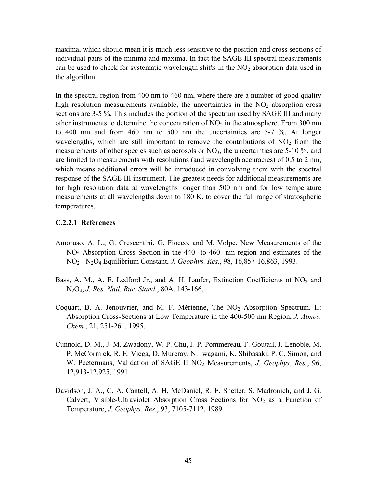maxima, which should mean it is much less sensitive to the position and cross sections of individual pairs of the minima and maxima. In fact the SAGE III spectral measurements can be used to check for systematic wavelength shifts in the  $NO<sub>2</sub>$  absorption data used in the algorithm.

In the spectral region from 400 nm to 460 nm, where there are a number of good quality high resolution measurements available, the uncertainties in the  $NO<sub>2</sub>$  absorption cross sections are 3-5 %. This includes the portion of the spectrum used by SAGE III and many other instruments to determine the concentration of  $NO<sub>2</sub>$  in the atmosphere. From 300 nm to 400 nm and from 460 nm to 500 nm the uncertainties are 5-7 %. At longer wavelengths, which are still important to remove the contributions of  $NO<sub>2</sub>$  from the measurements of other species such as aerosols or  $NO<sub>3</sub>$ , the uncertainties are 5-10 %, and are limited to measurements with resolutions (and wavelength accuracies) of 0.5 to 2 nm, which means additional errors will be introduced in convolving them with the spectral response of the SAGE III instrument. The greatest needs for additional measurements are for high resolution data at wavelengths longer than 500 nm and for low temperature measurements at all wavelengths down to 180 K, to cover the full range of stratospheric temperatures.

#### **C.2.2.1 References**

- Amoruso, A. L., G. Crescentini, G. Fiocco, and M. Volpe, New Measurements of the NO2 Absorption Cross Section in the 440- to 460- nm region and estimates of the NO2 - N2O4 Equilibrium Constant, *J. Geophys. Res.*, 98, 16,857-16,863, 1993.
- Bass, A. M., A. E. Ledford Jr., and A. H. Laufer, Extinction Coefficients of  $NO<sub>2</sub>$  and N2O4, *J. Res. Natl. Bur. Stand.*, 80A, 143-166.
- Coquart, B. A. Jenouvrier, and M. F. Mérienne, The  $NO<sub>2</sub>$  Absorption Spectrum. II: Absorption Cross-Sections at Low Temperature in the 400-500 nm Region, *J. Atmos. Chem.*, 21, 251-261. 1995.
- Cunnold, D. M., J. M. Zwadony, W. P. Chu, J. P. Pommereau, F. Goutail, J. Lenoble, M. P. McCormick, R. E. Viega, D. Murcray, N. Iwagami, K. Shibasaki, P. C. Simon, and W. Peetermans, Validation of SAGE II NO2 Measurements, *J. Geophys. Res.*, 96, 12,913-12,925, 1991.
- Davidson, J. A., C. A. Cantell, A. H. McDaniel, R. E. Shetter, S. Madronich, and J. G. Calvert, Visible-Ultraviolet Absorption Cross Sections for  $NO<sub>2</sub>$  as a Function of Temperature, *J. Geophys. Res.*, 93, 7105-7112, 1989.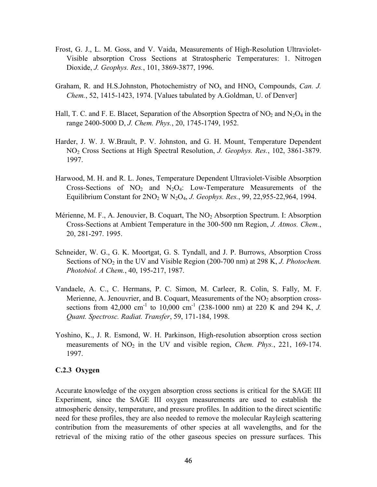- <span id="page-48-0"></span>Frost, G. J., L. M. Goss, and V. Vaida, Measurements of High-Resolution Ultraviolet-Visible absorption Cross Sections at Stratospheric Temperatures: 1. Nitrogen Dioxide, *J. Geophys. Res.*, 101, 3869-3877, 1996.
- Graham, R. and H.S.Johnston, Photochemistry of  $NO<sub>x</sub>$  and  $HNO<sub>x</sub>$  Compounds, *Can. J. Chem.*, 52, 1415-1423, 1974. [Values tabulated by A.Goldman, U. of Denver]
- Hall, T. C. and F. E. Blacet, Separation of the Absorption Spectra of  $NO<sub>2</sub>$  and  $N<sub>2</sub>O<sub>4</sub>$  in the range 2400-5000 D, *J. Chem. Phys.*, 20, 1745-1749, 1952.
- Harder, J. W. J. W.Brault, P. V. Johnston, and G. H. Mount, Temperature Dependent NO2 Cross Sections at High Spectral Resolution, *J. Geophys. Res.*, 102, 3861-3879. 1997.
- Harwood, M. H. and R. L. Jones, Temperature Dependent Ultraviolet-Visible Absorption Cross-Sections of  $NO<sub>2</sub>$  and  $N<sub>2</sub>O<sub>4</sub>$ : Low-Temperature Measurements of the Equilibrium Constant for 2NO<sub>2</sub> W N<sub>2</sub>O<sub>4</sub>, *J. Geophys. Res.*, 99, 22,955-22,964, 1994.
- Mérienne, M. F., A. Jenouvier, B. Coquart, The  $NO<sub>2</sub>$  Absorption Spectrum. I: Absorption Cross-Sections at Ambient Temperature in the 300-500 nm Region, *J. Atmos. Chem.*, 20, 281-297. 1995.
- Schneider, W. G., G. K. Moortgat, G. S. Tyndall, and J. P. Burrows, Absorption Cross Sections of NO<sub>2</sub> in the UV and Visible Region (200-700 nm) at 298 K, *J. Photochem. Photobiol. A Chem.*, 40, 195-217, 1987.
- Vandaele, A. C., C. Hermans, P. C. Simon, M. Carleer, R. Colin, S. Fally, M. F. Merienne, A. Jenouvrier, and B. Coquart, Measurements of the  $NO<sub>2</sub>$  absorption crosssections from 42,000 cm<sup>-1</sup> to 10,000 cm<sup>-1</sup> (238-1000 nm) at 220 K and 294 K, *J*. *Quant. Spectrosc. Radiat. Transfer*, 59, 171-184, 1998.
- Yoshino, K., J. R. Esmond, W. H. Parkinson, High-resolution absorption cross section measurements of NO<sub>2</sub> in the UV and visible region, *Chem. Phys.*, 221, 169-174. 1997.

### **C.2.3 Oxygen**

Accurate knowledge of the oxygen absorption cross sections is critical for the SAGE III Experiment, since the SAGE III oxygen measurements are used to establish the atmospheric density, temperature, and pressure profiles. In addition to the direct scientific need for these profiles, they are also needed to remove the molecular Rayleigh scattering contribution from the measurements of other species at all wavelengths, and for the retrieval of the mixing ratio of the other gaseous species on pressure surfaces. This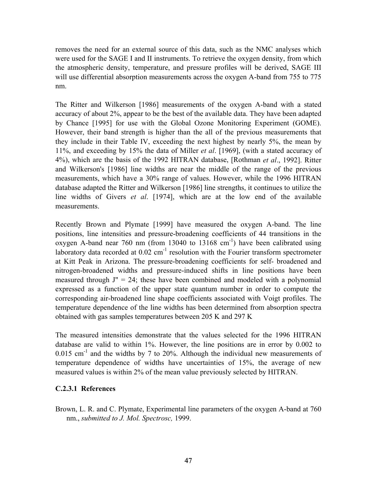removes the need for an external source of this data, such as the NMC analyses which were used for the SAGE I and II instruments. To retrieve the oxygen density, from which the atmospheric density, temperature, and pressure profiles will be derived, SAGE III will use differential absorption measurements across the oxygen A-band from 755 to 775 nm.

The Ritter and Wilkerson [1986] measurements of the oxygen A-band with a stated accuracy of about 2%, appear to be the best of the available data. They have been adapted by Chance [1995] for use with the Global Ozone Monitoring Experiment (GOME). However, their band strength is higher than the all of the previous measurements that they include in their Table IV, exceeding the next highest by nearly 5%, the mean by 11%, and exceeding by 15% the data of Miller *et al*. [1969], (with a stated accuracy of 4%), which are the basis of the 1992 HITRAN database, [Rothman *et al*., 1992]. Ritter and Wilkerson's [1986] line widths are near the middle of the range of the previous measurements, which have a 30% range of values. However, while the 1996 HITRAN database adapted the Ritter and Wilkerson [1986] line strengths, it continues to utilize the line widths of Givers *et al*. [1974], which are at the low end of the available measurements.

Recently Brown and Plymate [1999] have measured the oxygen A-band. The line positions, line intensities and pressure-broadening coefficients of 44 transitions in the oxygen A-band near 760 nm (from 13040 to 13168  $cm^{-1}$ ) have been calibrated using laboratory data recorded at  $0.02 \text{ cm}^{-1}$  resolution with the Fourier transform spectrometer at Kitt Peak in Arizona. The pressure-broadening coefficients for self- broadened and nitrogen-broadened widths and pressure-induced shifts in line positions have been measured through  $J'' = 24$ ; these have been combined and modeled with a polynomial expressed as a function of the upper state quantum number in order to compute the corresponding air-broadened line shape coefficients associated with Voigt profiles. The temperature dependence of the line widths has been determined from absorption spectra obtained with gas samples temperatures between 205 K and 297 K

The measured intensities demonstrate that the values selected for the 1996 HITRAN database are valid to within 1%. However, the line positions are in error by 0.002 to  $0.015$  cm<sup>-1</sup> and the widths by 7 to 20%. Although the individual new measurements of temperature dependence of widths have uncertainties of 15%, the average of new measured values is within 2% of the mean value previously selected by HITRAN.

### **C.2.3.1 References**

Brown, L. R. and C. Plymate, Experimental line parameters of the oxygen A-band at 760 nm., *submitted to J. Mol. Spectrosc,* 1999.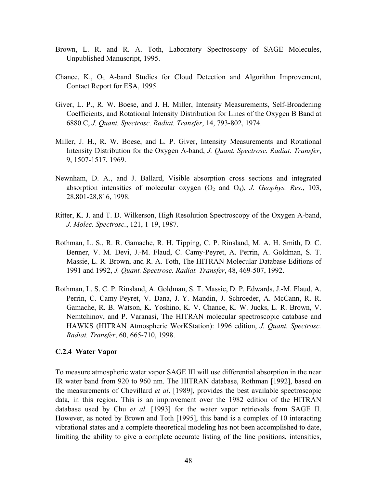- <span id="page-50-0"></span>Brown, L. R. and R. A. Toth, Laboratory Spectroscopy of SAGE Molecules, Unpublished Manuscript, 1995.
- Chance, K.,  $O_2$  A-band Studies for Cloud Detection and Algorithm Improvement, Contact Report for ESA, 1995.
- Giver, L. P., R. W. Boese, and J. H. Miller, Intensity Measurements, Self-Broadening Coefficients, and Rotational Intensity Distribution for Lines of the Oxygen B Band at 6880 C, *J. Quant. Spectrosc. Radiat. Transfer*, 14, 793-802, 1974.
- Miller, J. H., R. W. Boese, and L. P. Giver, Intensity Measurements and Rotational Intensity Distribution for the Oxygen A-band, *J. Quant. Spectrosc. Radiat. Transfer*, 9, 1507-1517, 1969.
- Newnham, D. A., and J. Ballard, Visible absorption cross sections and integrated absorption intensities of molecular oxygen  $(O_2 \text{ and } O_4)$ , *J. Geophys. Res.*, 103, 28,801-28,816, 1998.
- Ritter, K. J. and T. D. Wilkerson, High Resolution Spectroscopy of the Oxygen A-band, *J. Molec. Spectrosc.*, 121, 1-19, 1987.
- Rothman, L. S., R. R. Gamache, R. H. Tipping, C. P. Rinsland, M. A. H. Smith, D. C. Benner, V. M. Devi, J.-M. Flaud, C. Camy-Peyret, A. Perrin, A. Goldman, S. T. Massie, L. R. Brown, and R. A. Toth, The HITRAN Molecular Database Editions of 1991 and 1992, *J. Quant. Spectrosc. Radiat. Transfer*, 48, 469-507, 1992.
- Rothman, L. S. C. P. Rinsland, A. Goldman, S. T. Massie, D. P. Edwards, J.-M. Flaud, A. Perrin, C. Camy-Peyret, V. Dana, J.-Y. Mandin, J. Schroeder, A. McCann, R. R. Gamache, R. B. Watson, K. Yoshino, K. V. Chance, K. W. Jucks, L. R. Brown, V. Nemtchinov, and P. Varanasi, The HITRAN molecular spectroscopic database and HAWKS (HITRAN Atmospheric WorKStation): 1996 edition, *J. Quant. Spectrosc. Radiat. Transfer*, 60, 665-710, 1998.

#### **C.2.4 Water Vapor**

To measure atmospheric water vapor SAGE III will use differential absorption in the near IR water band from 920 to 960 nm. The HITRAN database, Rothman [1992], based on the measurements of Chevillard *et al*. [1989], provides the best available spectroscopic data, in this region. This is an improvement over the 1982 edition of the HITRAN database used by Chu *et al*. [1993] for the water vapor retrievals from SAGE II. However, as noted by Brown and Toth [1995], this band is a complex of 10 interacting vibrational states and a complete theoretical modeling has not been accomplished to date, limiting the ability to give a complete accurate listing of the line positions, intensities,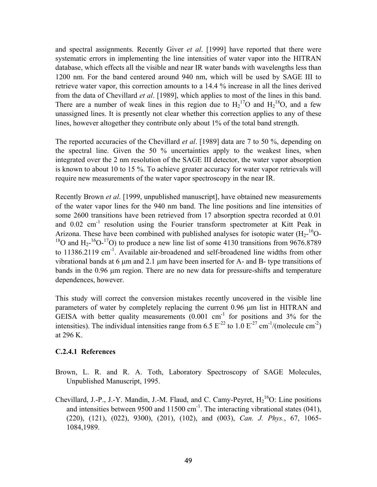and spectral assignments. Recently Giver *et al*. [1999] have reported that there were systematic errors in implementing the line intensities of water vapor into the HITRAN database, which effects all the visible and near IR water bands with wavelengths less than 1200 nm. For the band centered around 940 nm, which will be used by SAGE III to retrieve water vapor, this correction amounts to a 14.4 % increase in all the lines derived from the data of Chevillard *et al*. [1989], which applies to most of the lines in this band. There are a number of weak lines in this region due to  $H_2^{17}O$  and  $H_2^{18}O$ , and a few unassigned lines. It is presently not clear whether this correction applies to any of these lines, however altogether they contribute only about 1% of the total band strength.

The reported accuracies of the Chevillard *et al*. [1989] data are 7 to 50 %, depending on the spectral line. Given the 50 % uncertainties apply to the weakest lines, when integrated over the 2 nm resolution of the SAGE III detector, the water vapor absorption is known to about 10 to 15 %. To achieve greater accuracy for water vapor retrievals will require new measurements of the water vapor spectroscopy in the near IR.

Recently Brown *et al*. [1999, unpublished manuscript], have obtained new measurements of the water vapor lines for the 940 nm band. The line positions and line intensities of some 2600 transitions have been retrieved from 17 absorption spectra recorded at 0.01 and  $0.02 \text{ cm}^{-1}$  resolution using the Fourier transform spectrometer at Kitt Peak in Arizona. These have been combined with published analyses for isotopic water  $(H_2$ -<sup>16</sup>O-<sup>18</sup>O and H<sub>2</sub>-<sup>16</sup>O-<sup>17</sup>O) to produce a new line list of some 4130 transitions from 9676.8789 to 11386.2119 cm<sup>-1</sup>. Available air-broadened and self-broadened line widths from other vibrational bands at 6  $\mu$ m and 2.1  $\mu$ m have been inserted for A- and B- type transitions of bands in the 0.96 µm region. There are no new data for pressure-shifts and temperature dependences, however.

This study will correct the conversion mistakes recently uncovered in the visible line parameters of water by completely replacing the current 0.96 µm list in HITRAN and GEISA with better quality measurements  $(0.001 \text{ cm}^{-1})$  for positions and 3% for the intensities). The individual intensities range from 6.5  $E^{-22}$  to 1.0  $E^{-27}$  cm<sup>-1</sup>/(molecule cm<sup>-2</sup>) at 296 K.

#### **C.2.4.1 References**

- Brown, L. R. and R. A. Toth, Laboratory Spectroscopy of SAGE Molecules, Unpublished Manuscript, 1995.
- Chevillard, J.-P., J.-Y. Mandin, J.-M. Flaud, and C. Camy-Peyret,  $H_2^{16}O$ : Line positions and intensities between 9500 and 11500  $\text{cm}^{-1}$ . The interacting vibrational states (041), (220), (121), (022), 9300), (201), (102), and (003), *Can. J. Phys.*, 67, 1065- 1084,1989.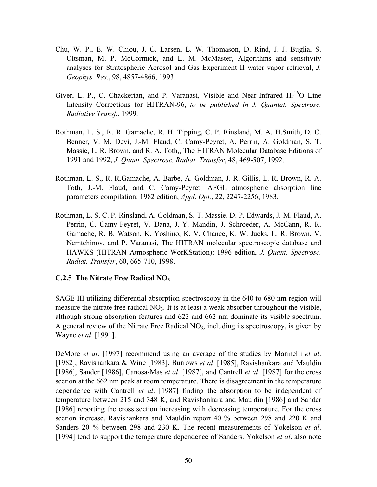- <span id="page-52-0"></span>Chu, W. P., E. W. Chiou, J. C. Larsen, L. W. Thomason, D. Rind, J. J. Buglia, S. Oltsman, M. P. McCormick, and L. M. McMaster, Algorithms and sensitivity analyses for Stratospheric Aerosol and Gas Experiment II water vapor retrieval, *J. Geophys. Res.*, 98, 4857-4866, 1993.
- Giver, L. P., C. Chackerian, and P. Varanasi, Visible and Near-Infrared  $H_2^{16}O$  Line Intensity Corrections for HITRAN-96, *to be published in J. Quantat. Spectrosc. Radiative Transf.*, 1999.
- Rothman, L. S., R. R. Gamache, R. H. Tipping, C. P. Rinsland, M. A. H.Smith, D. C. Benner, V. M. Devi, J.-M. Flaud, C. Camy-Peyret, A. Perrin, A. Goldman, S. T. Massie, L. R. Brown, and R. A. Toth,, The HITRAN Molecular Database Editions of 1991 and 1992, *J. Quant. Spectrosc. Radiat. Transfer*, 48, 469-507, 1992.
- Rothman, L. S., R. R.Gamache, A. Barbe, A. Goldman, J. R. Gillis, L. R. Brown, R. A. Toth, J.-M. Flaud, and C. Camy-Peyret, AFGL atmospheric absorption line parameters compilation: 1982 edition, *Appl. Opt.*, 22, 2247-2256, 1983.
- Rothman, L. S. C. P. Rinsland, A. Goldman, S. T. Massie, D. P. Edwards, J.-M. Flaud, A. Perrin, C. Camy-Peyret, V. Dana, J.-Y. Mandin, J. Schroeder, A. McCann, R. R. Gamache, R. B. Watson, K. Yoshino, K. V. Chance, K. W. Jucks, L. R. Brown, V. Nemtchinov, and P. Varanasi, The HITRAN molecular spectroscopic database and HAWKS (HITRAN Atmospheric WorKStation): 1996 edition, *J. Quant. Spectrosc. Radiat. Transfer*, 60, 665-710, 1998.

### **C.2.5 The Nitrate Free Radical NO3**

SAGE III utilizing differential absorption spectroscopy in the 640 to 680 nm region will measure the nitrate free radical  $NO<sub>3</sub>$ . It is at least a weak absorber throughout the visible, although strong absorption features and 623 and 662 nm dominate its visible spectrum. A general review of the Nitrate Free Radical  $NO<sub>3</sub>$ , including its spectroscopy, is given by Wayne *et al*. [1991].

DeMore *et al*. [1997] recommend using an average of the studies by Marinelli *et al*. [1982], Ravishankara & Wine [1983], Burrows *et al*. [1985], Ravishankara and Mauldin [1986], Sander [1986], Canosa-Mas *et al*. [1987], and Cantrell *et al*. [1987] for the cross section at the 662 nm peak at room temperature. There is disagreement in the temperature dependence with Cantrell *et al*. [1987] finding the absorption to be independent of temperature between 215 and 348 K, and Ravishankara and Mauldin [1986] and Sander [1986] reporting the cross section increasing with decreasing temperature. For the cross section increase, Ravishankara and Mauldin report 40 % between 298 and 220 K and Sanders 20 % between 298 and 230 K. The recent measurements of Yokelson *et al*. [1994] tend to support the temperature dependence of Sanders. Yokelson *et al*. also note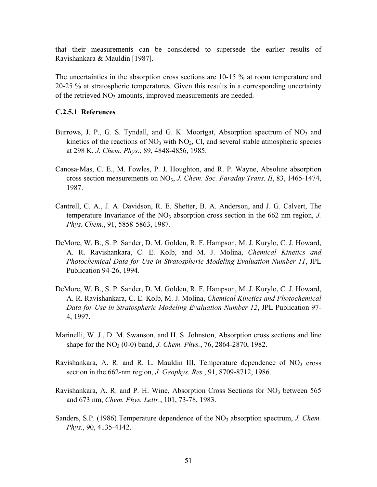that their measurements can be considered to supersede the earlier results of Ravishankara & Mauldin [1987].

The uncertainties in the absorption cross sections are 10-15 % at room temperature and 20-25 % at stratospheric temperatures. Given this results in a corresponding uncertainty of the retrieved  $NO<sub>3</sub>$  amounts, improved measurements are needed.

#### **C.2.5.1 References**

- Burrows, J. P., G. S. Tyndall, and G. K. Moortgat, Absorption spectrum of  $NO<sub>3</sub>$  and kinetics of the reactions of  $NO<sub>3</sub>$  with  $NO<sub>2</sub>$ , Cl, and several stable atmospheric species at 298 K, *J. Chem. Phys.*, 89, 4848-4856, 1985.
- Canosa-Mas, C. E., M. Fowles, P. J. Houghton, and R. P. Wayne, Absolute absorption cross section measurements on NO3, *J. Chem. Soc. Faraday Trans. II*, 83, 1465-1474, 1987.
- Cantrell, C. A., J. A. Davidson, R. E. Shetter, B. A. Anderson, and J. G. Calvert, The temperature Invariance of the  $NO<sub>3</sub>$  absorption cross section in the 662 nm region, *J. Phys. Chem.*, 91, 5858-5863, 1987.
- DeMore, W. B., S. P. Sander, D. M. Golden, R. F. Hampson, M. J. Kurylo, C. J. Howard, A. R. Ravishankara, C. E. Kolb, and M. J. Molina, *Chemical Kinetics and Photochemical Data for Use in Stratospheric Modeling Evaluation Number 11*, JPL Publication 94-26, 1994.
- DeMore, W. B., S. P. Sander, D. M. Golden, R. F. Hampson, M. J. Kurylo, C. J. Howard, A. R. Ravishankara, C. E. Kolb, M. J. Molina, *Chemical Kinetics and Photochemical Data for Use in Stratospheric Modeling Evaluation Number 12*, JPL Publication 97- 4, 1997.
- Marinelli, W. J., D. M. Swanson, and H. S. Johnston, Absorption cross sections and line shape for the NO<sub>3</sub> (0-0) band, *J. Chem. Phys.*, 76, 2864-2870, 1982.
- Ravishankara, A. R. and R. L. Mauldin III, Temperature dependence of  $NO<sub>3</sub>$  cross section in the 662-nm region, *J. Geophys. Res.*, 91, 8709-8712, 1986.
- Ravishankara, A. R. and P. H. Wine, Absorption Cross Sections for  $NO<sub>3</sub>$  between 565 and 673 nm, *Chem. Phys. Lettr.*, 101, 73-78, 1983.
- Sanders, S.P. (1986) Temperature dependence of the NO<sub>3</sub> absorption spectrum, *J. Chem. Phys.*, 90, 4135-4142.